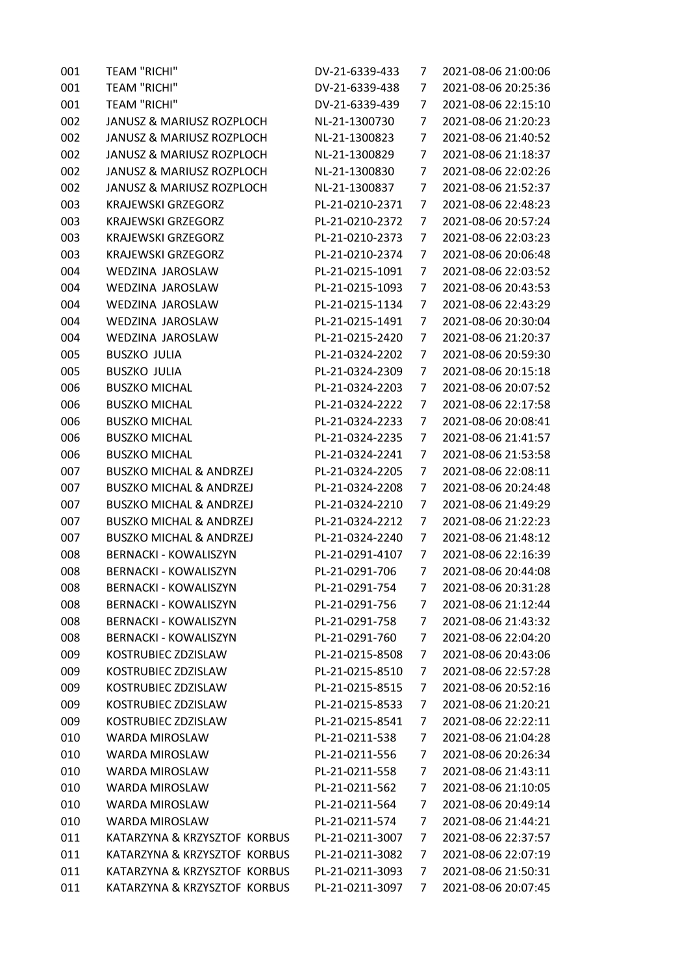| 001 | <b>TEAM "RICHI"</b>                  | DV-21-6339-433  | 7 | 2021-08-06 21:00:06 |
|-----|--------------------------------------|-----------------|---|---------------------|
| 001 | <b>TEAM "RICHI"</b>                  | DV-21-6339-438  | 7 | 2021-08-06 20:25:36 |
| 001 | <b>TEAM "RICHI"</b>                  | DV-21-6339-439  | 7 | 2021-08-06 22:15:10 |
| 002 | <b>JANUSZ &amp; MARIUSZ ROZPLOCH</b> | NL-21-1300730   | 7 | 2021-08-06 21:20:23 |
| 002 | JANUSZ & MARIUSZ ROZPLOCH            | NL-21-1300823   | 7 | 2021-08-06 21:40:52 |
| 002 | JANUSZ & MARIUSZ ROZPLOCH            | NL-21-1300829   | 7 | 2021-08-06 21:18:37 |
| 002 | JANUSZ & MARIUSZ ROZPLOCH            | NL-21-1300830   | 7 | 2021-08-06 22:02:26 |
| 002 | JANUSZ & MARIUSZ ROZPLOCH            | NL-21-1300837   | 7 | 2021-08-06 21:52:37 |
| 003 | <b>KRAJEWSKI GRZEGORZ</b>            | PL-21-0210-2371 | 7 | 2021-08-06 22:48:23 |
| 003 | <b>KRAJEWSKI GRZEGORZ</b>            | PL-21-0210-2372 | 7 | 2021-08-06 20:57:24 |
| 003 | <b>KRAJEWSKI GRZEGORZ</b>            | PL-21-0210-2373 | 7 | 2021-08-06 22:03:23 |
| 003 | <b>KRAJEWSKI GRZEGORZ</b>            | PL-21-0210-2374 | 7 | 2021-08-06 20:06:48 |
| 004 | WEDZINA JAROSLAW                     | PL-21-0215-1091 | 7 | 2021-08-06 22:03:52 |
| 004 | WEDZINA JAROSLAW                     | PL-21-0215-1093 | 7 | 2021-08-06 20:43:53 |
| 004 | WEDZINA JAROSLAW                     | PL-21-0215-1134 | 7 | 2021-08-06 22:43:29 |
| 004 | WEDZINA JAROSLAW                     | PL-21-0215-1491 | 7 | 2021-08-06 20:30:04 |
| 004 | WEDZINA JAROSLAW                     | PL-21-0215-2420 | 7 | 2021-08-06 21:20:37 |
| 005 | <b>BUSZKO JULIA</b>                  | PL-21-0324-2202 | 7 | 2021-08-06 20:59:30 |
| 005 | <b>BUSZKO JULIA</b>                  | PL-21-0324-2309 | 7 | 2021-08-06 20:15:18 |
| 006 | <b>BUSZKO MICHAL</b>                 | PL-21-0324-2203 | 7 | 2021-08-06 20:07:52 |
| 006 | <b>BUSZKO MICHAL</b>                 | PL-21-0324-2222 | 7 | 2021-08-06 22:17:58 |
| 006 | <b>BUSZKO MICHAL</b>                 | PL-21-0324-2233 | 7 | 2021-08-06 20:08:41 |
| 006 | <b>BUSZKO MICHAL</b>                 | PL-21-0324-2235 | 7 | 2021-08-06 21:41:57 |
| 006 | <b>BUSZKO MICHAL</b>                 | PL-21-0324-2241 | 7 | 2021-08-06 21:53:58 |
| 007 | <b>BUSZKO MICHAL &amp; ANDRZEJ</b>   | PL-21-0324-2205 | 7 | 2021-08-06 22:08:11 |
| 007 | <b>BUSZKO MICHAL &amp; ANDRZEJ</b>   | PL-21-0324-2208 | 7 | 2021-08-06 20:24:48 |
| 007 | <b>BUSZKO MICHAL &amp; ANDRZEJ</b>   | PL-21-0324-2210 | 7 | 2021-08-06 21:49:29 |
| 007 | <b>BUSZKO MICHAL &amp; ANDRZEJ</b>   | PL-21-0324-2212 | 7 | 2021-08-06 21:22:23 |
| 007 | <b>BUSZKO MICHAL &amp; ANDRZEJ</b>   | PL-21-0324-2240 | 7 | 2021-08-06 21:48:12 |
| 008 | <b>BERNACKI - KOWALISZYN</b>         | PL-21-0291-4107 | 7 | 2021-08-06 22:16:39 |
| 008 | <b>BERNACKI - KOWALISZYN</b>         | PL-21-0291-706  | 7 | 2021-08-06 20:44:08 |
| 008 | <b>BERNACKI - KOWALISZYN</b>         | PL-21-0291-754  | 7 | 2021-08-06 20:31:28 |
| 008 | <b>BERNACKI - KOWALISZYN</b>         | PL-21-0291-756  | 7 | 2021-08-06 21:12:44 |
| 008 | <b>BERNACKI - KOWALISZYN</b>         | PL-21-0291-758  | 7 | 2021-08-06 21:43:32 |
| 008 | <b>BERNACKI - KOWALISZYN</b>         | PL-21-0291-760  | 7 | 2021-08-06 22:04:20 |
| 009 | KOSTRUBIEC ZDZISLAW                  | PL-21-0215-8508 | 7 | 2021-08-06 20:43:06 |
| 009 | KOSTRUBIEC ZDZISLAW                  | PL-21-0215-8510 | 7 | 2021-08-06 22:57:28 |
| 009 | KOSTRUBIEC ZDZISLAW                  | PL-21-0215-8515 | 7 | 2021-08-06 20:52:16 |
| 009 | KOSTRUBIEC ZDZISLAW                  | PL-21-0215-8533 | 7 | 2021-08-06 21:20:21 |
| 009 | KOSTRUBIEC ZDZISLAW                  | PL-21-0215-8541 | 7 | 2021-08-06 22:22:11 |
| 010 | <b>WARDA MIROSLAW</b>                | PL-21-0211-538  | 7 | 2021-08-06 21:04:28 |
| 010 | <b>WARDA MIROSLAW</b>                | PL-21-0211-556  | 7 | 2021-08-06 20:26:34 |
| 010 | <b>WARDA MIROSLAW</b>                | PL-21-0211-558  | 7 | 2021-08-06 21:43:11 |
| 010 | <b>WARDA MIROSLAW</b>                | PL-21-0211-562  | 7 | 2021-08-06 21:10:05 |
| 010 | <b>WARDA MIROSLAW</b>                | PL-21-0211-564  | 7 | 2021-08-06 20:49:14 |
| 010 | <b>WARDA MIROSLAW</b>                | PL-21-0211-574  | 7 | 2021-08-06 21:44:21 |
| 011 | KATARZYNA & KRZYSZTOF KORBUS         | PL-21-0211-3007 | 7 | 2021-08-06 22:37:57 |
| 011 | KATARZYNA & KRZYSZTOF KORBUS         | PL-21-0211-3082 | 7 | 2021-08-06 22:07:19 |
| 011 | KATARZYNA & KRZYSZTOF KORBUS         | PL-21-0211-3093 | 7 | 2021-08-06 21:50:31 |
| 011 | KATARZYNA & KRZYSZTOF KORBUS         | PL-21-0211-3097 | 7 | 2021-08-06 20:07:45 |
|     |                                      |                 |   |                     |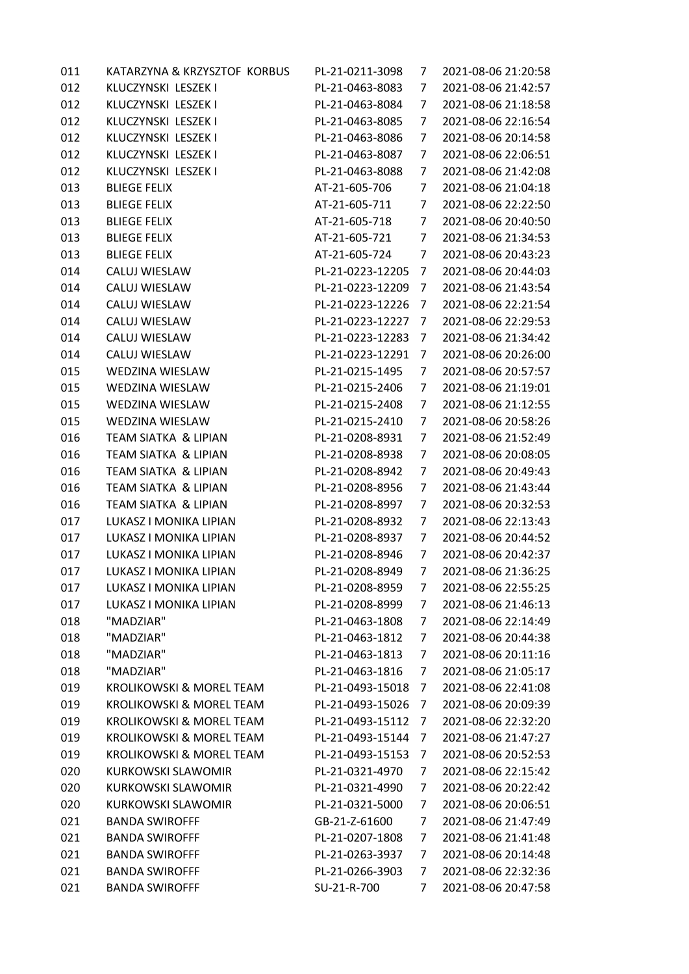| 011 | KATARZYNA & KRZYSZTOF KORBUS        | PL-21-0211-3098  | 7 | 2021-08-06 21:20:58 |
|-----|-------------------------------------|------------------|---|---------------------|
| 012 | KLUCZYNSKI LESZEK I                 | PL-21-0463-8083  | 7 | 2021-08-06 21:42:57 |
| 012 | KLUCZYNSKI LESZEK I                 | PL-21-0463-8084  | 7 | 2021-08-06 21:18:58 |
| 012 | KLUCZYNSKI LESZEK I                 | PL-21-0463-8085  | 7 | 2021-08-06 22:16:54 |
| 012 | KLUCZYNSKI LESZEK I                 | PL-21-0463-8086  | 7 | 2021-08-06 20:14:58 |
| 012 | KLUCZYNSKI LESZEK I                 | PL-21-0463-8087  | 7 | 2021-08-06 22:06:51 |
| 012 | KLUCZYNSKI LESZEK I                 | PL-21-0463-8088  | 7 | 2021-08-06 21:42:08 |
| 013 | <b>BLIEGE FELIX</b>                 | AT-21-605-706    | 7 | 2021-08-06 21:04:18 |
| 013 | <b>BLIEGE FELIX</b>                 | AT-21-605-711    | 7 | 2021-08-06 22:22:50 |
| 013 | <b>BLIEGE FELIX</b>                 | AT-21-605-718    | 7 | 2021-08-06 20:40:50 |
| 013 | <b>BLIEGE FELIX</b>                 | AT-21-605-721    | 7 | 2021-08-06 21:34:53 |
| 013 | <b>BLIEGE FELIX</b>                 | AT-21-605-724    | 7 | 2021-08-06 20:43:23 |
| 014 | CALUJ WIESLAW                       | PL-21-0223-12205 | 7 | 2021-08-06 20:44:03 |
| 014 | CALUJ WIESLAW                       | PL-21-0223-12209 | 7 | 2021-08-06 21:43:54 |
| 014 | CALUJ WIESLAW                       | PL-21-0223-12226 | 7 | 2021-08-06 22:21:54 |
| 014 | CALUJ WIESLAW                       | PL-21-0223-12227 | 7 | 2021-08-06 22:29:53 |
| 014 | CALUJ WIESLAW                       | PL-21-0223-12283 | 7 | 2021-08-06 21:34:42 |
| 014 | CALUJ WIESLAW                       | PL-21-0223-12291 | 7 | 2021-08-06 20:26:00 |
| 015 | WEDZINA WIESLAW                     | PL-21-0215-1495  | 7 | 2021-08-06 20:57:57 |
| 015 | WEDZINA WIESLAW                     | PL-21-0215-2406  | 7 | 2021-08-06 21:19:01 |
| 015 | WEDZINA WIESLAW                     | PL-21-0215-2408  | 7 | 2021-08-06 21:12:55 |
| 015 | <b>WEDZINA WIESLAW</b>              | PL-21-0215-2410  | 7 | 2021-08-06 20:58:26 |
| 016 | TEAM SIATKA & LIPIAN                | PL-21-0208-8931  | 7 | 2021-08-06 21:52:49 |
| 016 | TEAM SIATKA & LIPIAN                | PL-21-0208-8938  | 7 | 2021-08-06 20:08:05 |
| 016 | TEAM SIATKA & LIPIAN                | PL-21-0208-8942  | 7 | 2021-08-06 20:49:43 |
| 016 | TEAM SIATKA & LIPIAN                | PL-21-0208-8956  | 7 | 2021-08-06 21:43:44 |
| 016 | TEAM SIATKA & LIPIAN                | PL-21-0208-8997  | 7 | 2021-08-06 20:32:53 |
| 017 | LUKASZ I MONIKA LIPIAN              | PL-21-0208-8932  | 7 | 2021-08-06 22:13:43 |
| 017 | LUKASZ I MONIKA LIPIAN              | PL-21-0208-8937  | 7 | 2021-08-06 20:44:52 |
| 017 | LUKASZ I MONIKA LIPIAN              | PL-21-0208-8946  | 7 | 2021-08-06 20:42:37 |
| 017 | LUKASZ I MONIKA LIPIAN              | PL-21-0208-8949  | 7 | 2021-08-06 21:36:25 |
| 017 | LUKASZ I MONIKA LIPIAN              | PL-21-0208-8959  | 7 | 2021-08-06 22:55:25 |
| 017 | LUKASZ I MONIKA LIPIAN              | PL-21-0208-8999  | 7 | 2021-08-06 21:46:13 |
| 018 | "MADZIAR"                           | PL-21-0463-1808  | 7 | 2021-08-06 22:14:49 |
| 018 | "MADZIAR"                           | PL-21-0463-1812  | 7 | 2021-08-06 20:44:38 |
| 018 | "MADZIAR"                           | PL-21-0463-1813  | 7 | 2021-08-06 20:11:16 |
| 018 | "MADZIAR"                           | PL-21-0463-1816  | 7 | 2021-08-06 21:05:17 |
| 019 | KROLIKOWSKI & MOREL TEAM            | PL-21-0493-15018 | 7 | 2021-08-06 22:41:08 |
| 019 | <b>KROLIKOWSKI &amp; MOREL TEAM</b> | PL-21-0493-15026 | 7 | 2021-08-06 20:09:39 |
| 019 | KROLIKOWSKI & MOREL TEAM            | PL-21-0493-15112 | 7 | 2021-08-06 22:32:20 |
| 019 | KROLIKOWSKI & MOREL TEAM            | PL-21-0493-15144 | 7 | 2021-08-06 21:47:27 |
| 019 | KROLIKOWSKI & MOREL TEAM            | PL-21-0493-15153 | 7 | 2021-08-06 20:52:53 |
| 020 | <b>KURKOWSKI SLAWOMIR</b>           | PL-21-0321-4970  | 7 | 2021-08-06 22:15:42 |
| 020 | <b>KURKOWSKI SLAWOMIR</b>           | PL-21-0321-4990  | 7 | 2021-08-06 20:22:42 |
| 020 | KURKOWSKI SLAWOMIR                  | PL-21-0321-5000  | 7 | 2021-08-06 20:06:51 |
| 021 | <b>BANDA SWIROFFF</b>               | GB-21-Z-61600    | 7 | 2021-08-06 21:47:49 |
| 021 | <b>BANDA SWIROFFF</b>               | PL-21-0207-1808  | 7 | 2021-08-06 21:41:48 |
| 021 | <b>BANDA SWIROFFF</b>               | PL-21-0263-3937  | 7 | 2021-08-06 20:14:48 |
| 021 | <b>BANDA SWIROFFF</b>               | PL-21-0266-3903  | 7 | 2021-08-06 22:32:36 |
| 021 | <b>BANDA SWIROFFF</b>               | SU-21-R-700      | 7 | 2021-08-06 20:47:58 |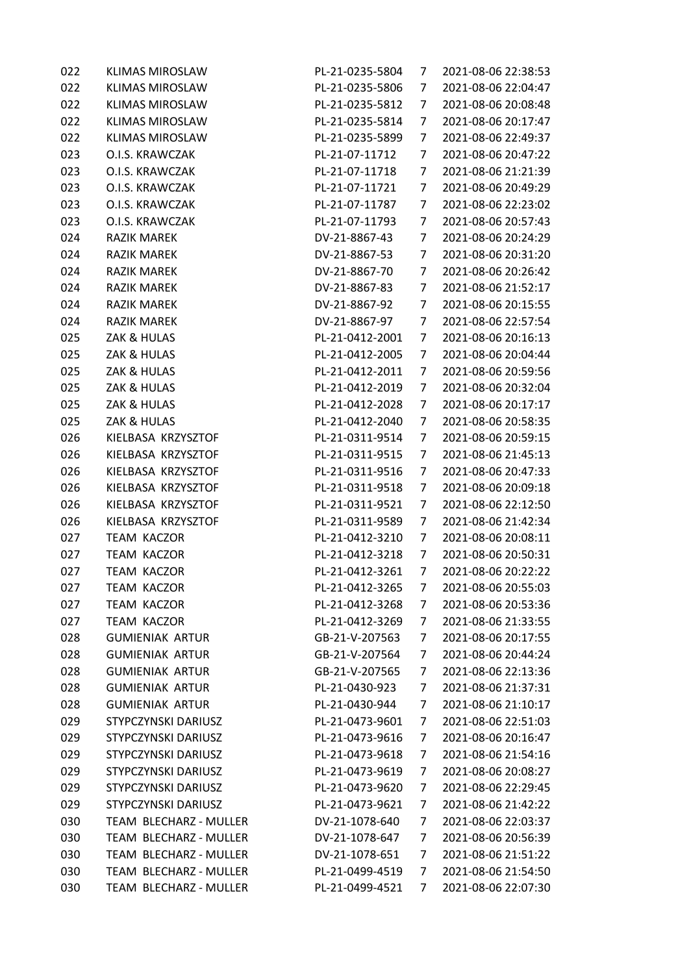| 022 | <b>KLIMAS MIROSLAW</b> | PL-21-0235-5804 | 7              | 2021-08-06 22:38:53 |
|-----|------------------------|-----------------|----------------|---------------------|
| 022 | <b>KLIMAS MIROSLAW</b> | PL-21-0235-5806 | 7              | 2021-08-06 22:04:47 |
| 022 | <b>KLIMAS MIROSLAW</b> | PL-21-0235-5812 | 7              | 2021-08-06 20:08:48 |
| 022 | <b>KLIMAS MIROSLAW</b> | PL-21-0235-5814 | 7              | 2021-08-06 20:17:47 |
| 022 | <b>KLIMAS MIROSLAW</b> | PL-21-0235-5899 | 7              | 2021-08-06 22:49:37 |
| 023 | O.I.S. KRAWCZAK        | PL-21-07-11712  | 7              | 2021-08-06 20:47:22 |
| 023 | O.I.S. KRAWCZAK        | PL-21-07-11718  | 7              | 2021-08-06 21:21:39 |
| 023 | O.I.S. KRAWCZAK        | PL-21-07-11721  | 7              | 2021-08-06 20:49:29 |
| 023 | O.I.S. KRAWCZAK        | PL-21-07-11787  | 7              | 2021-08-06 22:23:02 |
| 023 | O.I.S. KRAWCZAK        | PL-21-07-11793  | 7              | 2021-08-06 20:57:43 |
| 024 | <b>RAZIK MAREK</b>     | DV-21-8867-43   | 7              | 2021-08-06 20:24:29 |
| 024 | <b>RAZIK MAREK</b>     | DV-21-8867-53   | 7              | 2021-08-06 20:31:20 |
| 024 | <b>RAZIK MAREK</b>     | DV-21-8867-70   | 7              | 2021-08-06 20:26:42 |
| 024 | <b>RAZIK MAREK</b>     | DV-21-8867-83   | 7              | 2021-08-06 21:52:17 |
| 024 | <b>RAZIK MAREK</b>     | DV-21-8867-92   | 7              | 2021-08-06 20:15:55 |
| 024 | <b>RAZIK MAREK</b>     | DV-21-8867-97   | 7              | 2021-08-06 22:57:54 |
| 025 | ZAK & HULAS            | PL-21-0412-2001 | 7              | 2021-08-06 20:16:13 |
| 025 | ZAK & HULAS            | PL-21-0412-2005 | 7              | 2021-08-06 20:04:44 |
| 025 | ZAK & HULAS            | PL-21-0412-2011 | 7              | 2021-08-06 20:59:56 |
| 025 | ZAK & HULAS            | PL-21-0412-2019 | 7              | 2021-08-06 20:32:04 |
| 025 | ZAK & HULAS            | PL-21-0412-2028 | 7              | 2021-08-06 20:17:17 |
| 025 | ZAK & HULAS            | PL-21-0412-2040 | 7              | 2021-08-06 20:58:35 |
| 026 | KIELBASA KRZYSZTOF     | PL-21-0311-9514 | 7              | 2021-08-06 20:59:15 |
| 026 | KIELBASA KRZYSZTOF     | PL-21-0311-9515 | 7              | 2021-08-06 21:45:13 |
| 026 | KIELBASA KRZYSZTOF     | PL-21-0311-9516 | 7              | 2021-08-06 20:47:33 |
| 026 | KIELBASA KRZYSZTOF     | PL-21-0311-9518 | 7              | 2021-08-06 20:09:18 |
| 026 | KIELBASA KRZYSZTOF     | PL-21-0311-9521 | 7              | 2021-08-06 22:12:50 |
| 026 | KIELBASA KRZYSZTOF     | PL-21-0311-9589 | 7              | 2021-08-06 21:42:34 |
| 027 | <b>TEAM KACZOR</b>     | PL-21-0412-3210 | 7              | 2021-08-06 20:08:11 |
| 027 | <b>TEAM KACZOR</b>     | PL-21-0412-3218 | 7              | 2021-08-06 20:50:31 |
| 027 | TEAM KACZOR            | PL-21-0412-3261 | 7              | 2021-08-06 20:22:22 |
| 027 | <b>TEAM KACZOR</b>     | PL-21-0412-3265 | $\overline{7}$ | 2021-08-06 20:55:03 |
| 027 | <b>TEAM KACZOR</b>     | PL-21-0412-3268 | 7              | 2021-08-06 20:53:36 |
| 027 | <b>TEAM KACZOR</b>     | PL-21-0412-3269 | 7              | 2021-08-06 21:33:55 |
| 028 | <b>GUMIENIAK ARTUR</b> | GB-21-V-207563  | 7              | 2021-08-06 20:17:55 |
| 028 | <b>GUMIENIAK ARTUR</b> | GB-21-V-207564  | 7              | 2021-08-06 20:44:24 |
| 028 | <b>GUMIENIAK ARTUR</b> | GB-21-V-207565  | 7              | 2021-08-06 22:13:36 |
| 028 | <b>GUMIENIAK ARTUR</b> | PL-21-0430-923  | 7              | 2021-08-06 21:37:31 |
| 028 | <b>GUMIENIAK ARTUR</b> | PL-21-0430-944  | 7              | 2021-08-06 21:10:17 |
| 029 | STYPCZYNSKI DARIUSZ    | PL-21-0473-9601 | 7              | 2021-08-06 22:51:03 |
| 029 | STYPCZYNSKI DARIUSZ    | PL-21-0473-9616 | 7              | 2021-08-06 20:16:47 |
| 029 | STYPCZYNSKI DARIUSZ    | PL-21-0473-9618 | 7              | 2021-08-06 21:54:16 |
| 029 | STYPCZYNSKI DARIUSZ    | PL-21-0473-9619 | 7              | 2021-08-06 20:08:27 |
| 029 | STYPCZYNSKI DARIUSZ    | PL-21-0473-9620 | 7              | 2021-08-06 22:29:45 |
| 029 | STYPCZYNSKI DARIUSZ    | PL-21-0473-9621 | 7              | 2021-08-06 21:42:22 |
| 030 | TEAM BLECHARZ - MULLER | DV-21-1078-640  | 7              | 2021-08-06 22:03:37 |
| 030 | TEAM BLECHARZ - MULLER | DV-21-1078-647  | 7              | 2021-08-06 20:56:39 |
| 030 | TEAM BLECHARZ - MULLER | DV-21-1078-651  | 7              | 2021-08-06 21:51:22 |
| 030 | TEAM BLECHARZ - MULLER | PL-21-0499-4519 | 7              | 2021-08-06 21:54:50 |
| 030 | TEAM BLECHARZ - MULLER | PL-21-0499-4521 | 7              | 2021-08-06 22:07:30 |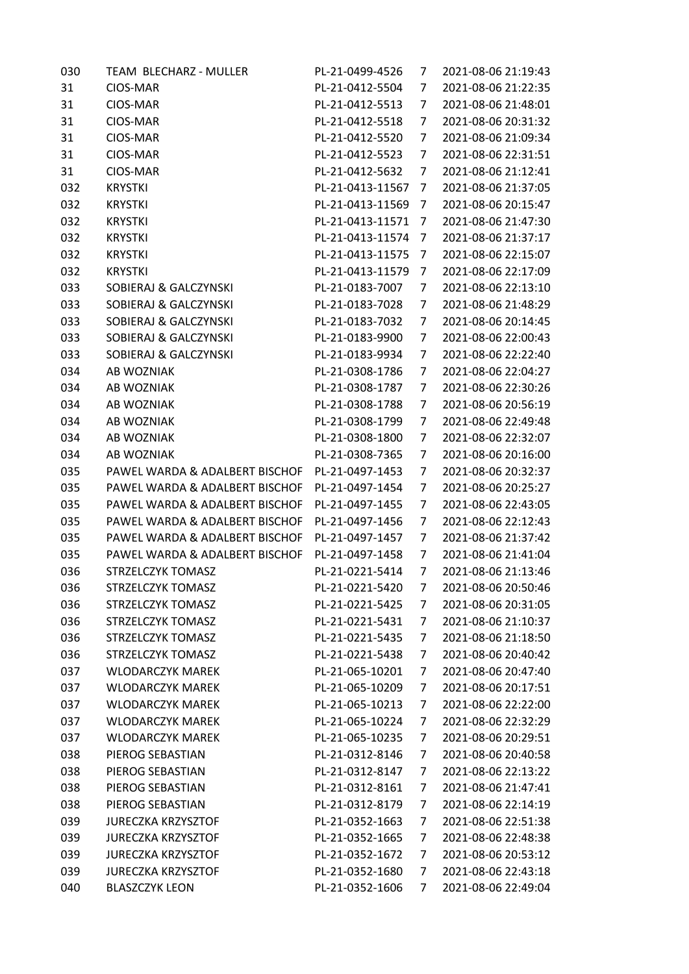| 030 | TEAM BLECHARZ - MULLER         | PL-21-0499-4526  | 7 | 2021-08-06 21:19:43 |
|-----|--------------------------------|------------------|---|---------------------|
| 31  | CIOS-MAR                       | PL-21-0412-5504  | 7 | 2021-08-06 21:22:35 |
| 31  | CIOS-MAR                       | PL-21-0412-5513  | 7 | 2021-08-06 21:48:01 |
| 31  | CIOS-MAR                       | PL-21-0412-5518  | 7 | 2021-08-06 20:31:32 |
| 31  | CIOS-MAR                       | PL-21-0412-5520  | 7 | 2021-08-06 21:09:34 |
| 31  | CIOS-MAR                       | PL-21-0412-5523  | 7 | 2021-08-06 22:31:51 |
| 31  | CIOS-MAR                       | PL-21-0412-5632  | 7 | 2021-08-06 21:12:41 |
| 032 | <b>KRYSTKI</b>                 | PL-21-0413-11567 | 7 | 2021-08-06 21:37:05 |
| 032 | <b>KRYSTKI</b>                 | PL-21-0413-11569 | 7 | 2021-08-06 20:15:47 |
| 032 | <b>KRYSTKI</b>                 | PL-21-0413-11571 | 7 | 2021-08-06 21:47:30 |
| 032 | <b>KRYSTKI</b>                 | PL-21-0413-11574 | 7 | 2021-08-06 21:37:17 |
| 032 | <b>KRYSTKI</b>                 | PL-21-0413-11575 | 7 | 2021-08-06 22:15:07 |
| 032 | <b>KRYSTKI</b>                 | PL-21-0413-11579 | 7 | 2021-08-06 22:17:09 |
| 033 | SOBIERAJ & GALCZYNSKI          | PL-21-0183-7007  | 7 | 2021-08-06 22:13:10 |
| 033 | SOBIERAJ & GALCZYNSKI          | PL-21-0183-7028  | 7 | 2021-08-06 21:48:29 |
| 033 | SOBIERAJ & GALCZYNSKI          | PL-21-0183-7032  | 7 | 2021-08-06 20:14:45 |
| 033 | SOBIERAJ & GALCZYNSKI          | PL-21-0183-9900  | 7 | 2021-08-06 22:00:43 |
| 033 | SOBIERAJ & GALCZYNSKI          | PL-21-0183-9934  | 7 | 2021-08-06 22:22:40 |
| 034 | AB WOZNIAK                     | PL-21-0308-1786  | 7 | 2021-08-06 22:04:27 |
| 034 | AB WOZNIAK                     | PL-21-0308-1787  | 7 | 2021-08-06 22:30:26 |
| 034 | AB WOZNIAK                     | PL-21-0308-1788  | 7 | 2021-08-06 20:56:19 |
| 034 | AB WOZNIAK                     | PL-21-0308-1799  | 7 | 2021-08-06 22:49:48 |
| 034 | AB WOZNIAK                     | PL-21-0308-1800  | 7 | 2021-08-06 22:32:07 |
| 034 | AB WOZNIAK                     | PL-21-0308-7365  | 7 | 2021-08-06 20:16:00 |
| 035 | PAWEL WARDA & ADALBERT BISCHOF | PL-21-0497-1453  | 7 | 2021-08-06 20:32:37 |
| 035 | PAWEL WARDA & ADALBERT BISCHOF | PL-21-0497-1454  | 7 | 2021-08-06 20:25:27 |
| 035 | PAWEL WARDA & ADALBERT BISCHOF | PL-21-0497-1455  | 7 | 2021-08-06 22:43:05 |
| 035 | PAWEL WARDA & ADALBERT BISCHOF | PL-21-0497-1456  | 7 | 2021-08-06 22:12:43 |
| 035 | PAWEL WARDA & ADALBERT BISCHOF | PL-21-0497-1457  | 7 | 2021-08-06 21:37:42 |
| 035 | PAWEL WARDA & ADALBERT BISCHOF | PL-21-0497-1458  | 7 | 2021-08-06 21:41:04 |
| 036 | <b>STRZELCZYK TOMASZ</b>       | PL-21-0221-5414  | 7 | 2021-08-06 21:13:46 |
| 036 | STRZELCZYK TOMASZ              | PL-21-0221-5420  | 7 | 2021-08-06 20:50:46 |
| 036 | STRZELCZYK TOMASZ              | PL-21-0221-5425  | 7 | 2021-08-06 20:31:05 |
| 036 | STRZELCZYK TOMASZ              | PL-21-0221-5431  | 7 | 2021-08-06 21:10:37 |
| 036 | STRZELCZYK TOMASZ              | PL-21-0221-5435  | 7 | 2021-08-06 21:18:50 |
| 036 | STRZELCZYK TOMASZ              | PL-21-0221-5438  | 7 | 2021-08-06 20:40:42 |
| 037 | <b>WLODARCZYK MAREK</b>        | PL-21-065-10201  | 7 | 2021-08-06 20:47:40 |
| 037 | <b>WLODARCZYK MAREK</b>        | PL-21-065-10209  | 7 | 2021-08-06 20:17:51 |
| 037 | <b>WLODARCZYK MAREK</b>        | PL-21-065-10213  | 7 | 2021-08-06 22:22:00 |
| 037 | <b>WLODARCZYK MAREK</b>        | PL-21-065-10224  | 7 | 2021-08-06 22:32:29 |
| 037 | <b>WLODARCZYK MAREK</b>        | PL-21-065-10235  | 7 | 2021-08-06 20:29:51 |
| 038 | PIEROG SEBASTIAN               | PL-21-0312-8146  | 7 | 2021-08-06 20:40:58 |
| 038 | PIEROG SEBASTIAN               | PL-21-0312-8147  | 7 | 2021-08-06 22:13:22 |
| 038 | PIEROG SEBASTIAN               | PL-21-0312-8161  | 7 | 2021-08-06 21:47:41 |
| 038 | PIEROG SEBASTIAN               | PL-21-0312-8179  | 7 | 2021-08-06 22:14:19 |
| 039 | <b>JURECZKA KRZYSZTOF</b>      | PL-21-0352-1663  | 7 | 2021-08-06 22:51:38 |
| 039 | <b>JURECZKA KRZYSZTOF</b>      | PL-21-0352-1665  | 7 | 2021-08-06 22:48:38 |
| 039 | <b>JURECZKA KRZYSZTOF</b>      | PL-21-0352-1672  | 7 | 2021-08-06 20:53:12 |
| 039 | <b>JURECZKA KRZYSZTOF</b>      | PL-21-0352-1680  | 7 | 2021-08-06 22:43:18 |
| 040 | <b>BLASZCZYK LEON</b>          | PL-21-0352-1606  | 7 | 2021-08-06 22:49:04 |
|     |                                |                  |   |                     |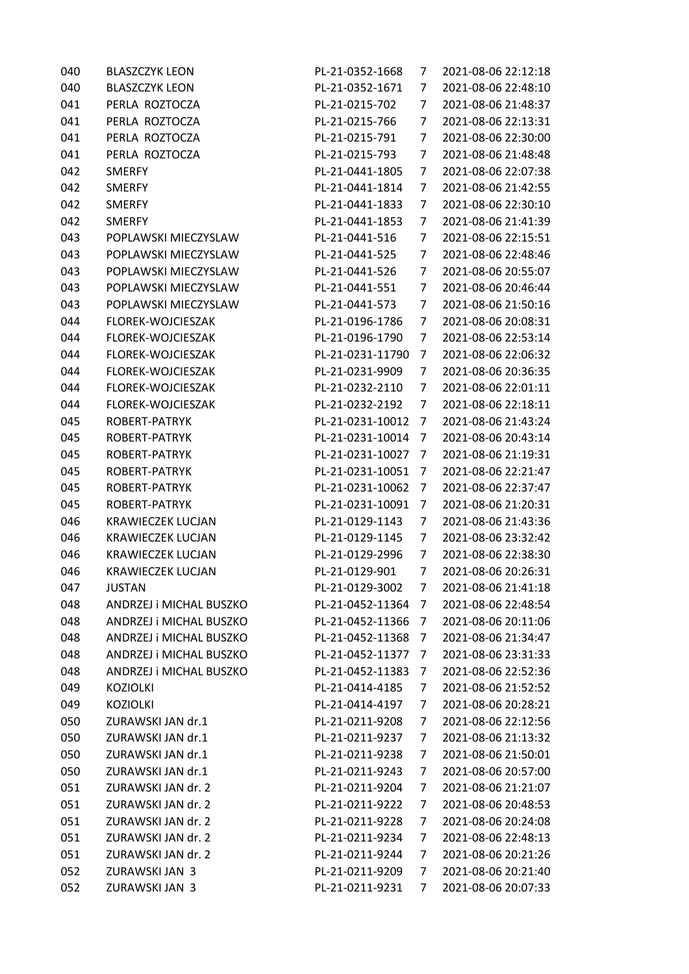| 040 | <b>BLASZCZYK LEON</b>    | PL-21-0352-1668  | 7              | 2021-08-06 22:12:18 |
|-----|--------------------------|------------------|----------------|---------------------|
| 040 | <b>BLASZCZYK LEON</b>    | PL-21-0352-1671  | 7              | 2021-08-06 22:48:10 |
| 041 | PERLA ROZTOCZA           | PL-21-0215-702   | 7              | 2021-08-06 21:48:37 |
| 041 | PERLA ROZTOCZA           | PL-21-0215-766   | 7              | 2021-08-06 22:13:31 |
| 041 | PERLA ROZTOCZA           | PL-21-0215-791   | 7              | 2021-08-06 22:30:00 |
| 041 | PERLA ROZTOCZA           | PL-21-0215-793   | 7              | 2021-08-06 21:48:48 |
| 042 | <b>SMERFY</b>            | PL-21-0441-1805  | 7              | 2021-08-06 22:07:38 |
| 042 | <b>SMERFY</b>            | PL-21-0441-1814  | 7              | 2021-08-06 21:42:55 |
| 042 | <b>SMERFY</b>            | PL-21-0441-1833  | 7              | 2021-08-06 22:30:10 |
| 042 | <b>SMERFY</b>            | PL-21-0441-1853  | 7              | 2021-08-06 21:41:39 |
| 043 | POPLAWSKI MIECZYSLAW     | PL-21-0441-516   | 7              | 2021-08-06 22:15:51 |
| 043 | POPLAWSKI MIECZYSLAW     | PL-21-0441-525   | 7              | 2021-08-06 22:48:46 |
| 043 | POPLAWSKI MIECZYSLAW     | PL-21-0441-526   | 7              | 2021-08-06 20:55:07 |
| 043 | POPLAWSKI MIECZYSLAW     | PL-21-0441-551   | 7              | 2021-08-06 20:46:44 |
| 043 | POPLAWSKI MIECZYSLAW     | PL-21-0441-573   | 7              | 2021-08-06 21:50:16 |
| 044 | FLOREK-WOJCIESZAK        | PL-21-0196-1786  | 7              | 2021-08-06 20:08:31 |
| 044 | FLOREK-WOJCIESZAK        | PL-21-0196-1790  | 7              | 2021-08-06 22:53:14 |
| 044 | FLOREK-WOJCIESZAK        | PL-21-0231-11790 | 7              | 2021-08-06 22:06:32 |
| 044 | FLOREK-WOJCIESZAK        | PL-21-0231-9909  | 7              | 2021-08-06 20:36:35 |
| 044 | FLOREK-WOJCIESZAK        | PL-21-0232-2110  | 7              | 2021-08-06 22:01:11 |
| 044 | FLOREK-WOJCIESZAK        | PL-21-0232-2192  | 7              | 2021-08-06 22:18:11 |
| 045 | ROBERT-PATRYK            | PL-21-0231-10012 | 7              | 2021-08-06 21:43:24 |
| 045 | ROBERT-PATRYK            | PL-21-0231-10014 | 7              | 2021-08-06 20:43:14 |
| 045 | ROBERT-PATRYK            | PL-21-0231-10027 | 7              | 2021-08-06 21:19:31 |
| 045 | ROBERT-PATRYK            | PL-21-0231-10051 | 7              | 2021-08-06 22:21:47 |
| 045 | ROBERT-PATRYK            | PL-21-0231-10062 | 7              | 2021-08-06 22:37:47 |
| 045 | ROBERT-PATRYK            | PL-21-0231-10091 | 7              | 2021-08-06 21:20:31 |
| 046 | <b>KRAWIECZEK LUCJAN</b> | PL-21-0129-1143  | 7              | 2021-08-06 21:43:36 |
| 046 | <b>KRAWIECZEK LUCJAN</b> | PL-21-0129-1145  | 7              | 2021-08-06 23:32:42 |
| 046 | <b>KRAWIECZEK LUCJAN</b> | PL-21-0129-2996  | 7              | 2021-08-06 22:38:30 |
| 046 | <b>KRAWIECZEK LUCJAN</b> | PL-21-0129-901   | 7              | 2021-08-06 20:26:31 |
| 047 | <b>JUSTAN</b>            | PL-21-0129-3002  | $\overline{7}$ | 2021-08-06 21:41:18 |
| 048 | ANDRZEJ i MICHAL BUSZKO  | PL-21-0452-11364 | 7              | 2021-08-06 22:48:54 |
| 048 | ANDRZEJ i MICHAL BUSZKO  | PL-21-0452-11366 | 7              | 2021-08-06 20:11:06 |
| 048 | ANDRZEJ i MICHAL BUSZKO  | PL-21-0452-11368 | 7              | 2021-08-06 21:34:47 |
| 048 | ANDRZEJ i MICHAL BUSZKO  | PL-21-0452-11377 | 7              | 2021-08-06 23:31:33 |
| 048 | ANDRZEJ i MICHAL BUSZKO  | PL-21-0452-11383 | 7              | 2021-08-06 22:52:36 |
| 049 | <b>KOZIOLKI</b>          | PL-21-0414-4185  | 7              | 2021-08-06 21:52:52 |
| 049 | <b>KOZIOLKI</b>          | PL-21-0414-4197  | 7              | 2021-08-06 20:28:21 |
| 050 | ZURAWSKI JAN dr.1        | PL-21-0211-9208  | 7              | 2021-08-06 22:12:56 |
| 050 | ZURAWSKI JAN dr.1        | PL-21-0211-9237  | 7              | 2021-08-06 21:13:32 |
| 050 | ZURAWSKI JAN dr.1        | PL-21-0211-9238  | 7              | 2021-08-06 21:50:01 |
| 050 | ZURAWSKI JAN dr.1        | PL-21-0211-9243  | 7              | 2021-08-06 20:57:00 |
| 051 | ZURAWSKI JAN dr. 2       | PL-21-0211-9204  | 7              | 2021-08-06 21:21:07 |
| 051 | ZURAWSKI JAN dr. 2       | PL-21-0211-9222  | 7              | 2021-08-06 20:48:53 |
| 051 | ZURAWSKI JAN dr. 2       | PL-21-0211-9228  | 7              | 2021-08-06 20:24:08 |
| 051 | ZURAWSKI JAN dr. 2       | PL-21-0211-9234  | 7              | 2021-08-06 22:48:13 |
| 051 | ZURAWSKI JAN dr. 2       | PL-21-0211-9244  | 7              | 2021-08-06 20:21:26 |
| 052 | ZURAWSKI JAN 3           | PL-21-0211-9209  | 7              | 2021-08-06 20:21:40 |
| 052 | ZURAWSKI JAN 3           | PL-21-0211-9231  | 7              | 2021-08-06 20:07:33 |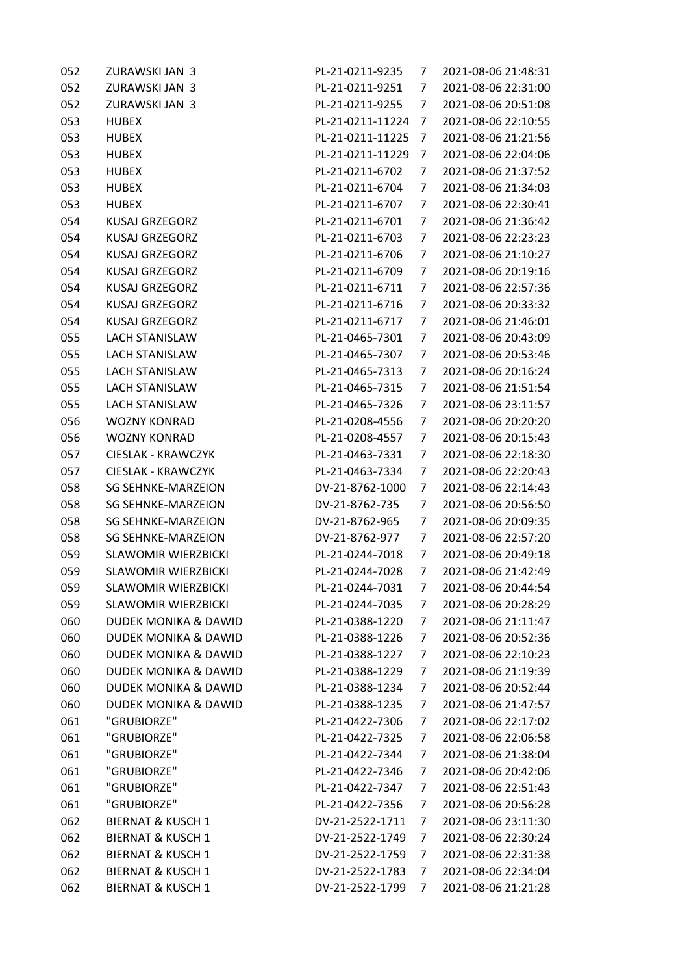| 052 | <b>ZURAWSKI JAN 3</b>           | PL-21-0211-9235  | 7              | 2021-08-06 21:48:31 |
|-----|---------------------------------|------------------|----------------|---------------------|
| 052 | ZURAWSKI JAN 3                  | PL-21-0211-9251  | 7              | 2021-08-06 22:31:00 |
| 052 | ZURAWSKI JAN 3                  | PL-21-0211-9255  | 7              | 2021-08-06 20:51:08 |
| 053 | <b>HUBEX</b>                    | PL-21-0211-11224 | 7              | 2021-08-06 22:10:55 |
| 053 | <b>HUBEX</b>                    | PL-21-0211-11225 | 7              | 2021-08-06 21:21:56 |
| 053 | <b>HUBEX</b>                    | PL-21-0211-11229 | 7              | 2021-08-06 22:04:06 |
| 053 | <b>HUBEX</b>                    | PL-21-0211-6702  | 7              | 2021-08-06 21:37:52 |
| 053 | <b>HUBEX</b>                    | PL-21-0211-6704  | 7              | 2021-08-06 21:34:03 |
| 053 | <b>HUBEX</b>                    | PL-21-0211-6707  | 7              | 2021-08-06 22:30:41 |
| 054 | KUSAJ GRZEGORZ                  | PL-21-0211-6701  | 7              | 2021-08-06 21:36:42 |
| 054 | <b>KUSAJ GRZEGORZ</b>           | PL-21-0211-6703  | 7              | 2021-08-06 22:23:23 |
| 054 | <b>KUSAJ GRZEGORZ</b>           | PL-21-0211-6706  | 7              | 2021-08-06 21:10:27 |
| 054 | <b>KUSAJ GRZEGORZ</b>           | PL-21-0211-6709  | 7              | 2021-08-06 20:19:16 |
| 054 | KUSAJ GRZEGORZ                  | PL-21-0211-6711  | 7              | 2021-08-06 22:57:36 |
| 054 | <b>KUSAJ GRZEGORZ</b>           | PL-21-0211-6716  | 7              | 2021-08-06 20:33:32 |
| 054 | <b>KUSAJ GRZEGORZ</b>           | PL-21-0211-6717  | 7              | 2021-08-06 21:46:01 |
| 055 | <b>LACH STANISLAW</b>           | PL-21-0465-7301  | 7              | 2021-08-06 20:43:09 |
| 055 | <b>LACH STANISLAW</b>           | PL-21-0465-7307  | 7              | 2021-08-06 20:53:46 |
| 055 | <b>LACH STANISLAW</b>           | PL-21-0465-7313  | 7              | 2021-08-06 20:16:24 |
| 055 | <b>LACH STANISLAW</b>           | PL-21-0465-7315  | 7              | 2021-08-06 21:51:54 |
| 055 | <b>LACH STANISLAW</b>           | PL-21-0465-7326  | 7              | 2021-08-06 23:11:57 |
| 056 | <b>WOZNY KONRAD</b>             | PL-21-0208-4556  | 7              | 2021-08-06 20:20:20 |
| 056 | <b>WOZNY KONRAD</b>             | PL-21-0208-4557  | 7              | 2021-08-06 20:15:43 |
| 057 | <b>CIESLAK - KRAWCZYK</b>       | PL-21-0463-7331  | 7              | 2021-08-06 22:18:30 |
| 057 | <b>CIESLAK - KRAWCZYK</b>       | PL-21-0463-7334  | 7              | 2021-08-06 22:20:43 |
| 058 | <b>SG SEHNKE-MARZEION</b>       | DV-21-8762-1000  | 7              | 2021-08-06 22:14:43 |
| 058 | <b>SG SEHNKE-MARZEION</b>       | DV-21-8762-735   | 7              | 2021-08-06 20:56:50 |
| 058 | <b>SG SEHNKE-MARZEION</b>       | DV-21-8762-965   | 7              | 2021-08-06 20:09:35 |
| 058 | <b>SG SEHNKE-MARZEION</b>       | DV-21-8762-977   | 7              | 2021-08-06 22:57:20 |
| 059 | <b>SLAWOMIR WIERZBICKI</b>      | PL-21-0244-7018  | 7              | 2021-08-06 20:49:18 |
| 059 | <b>SLAWOMIR WIERZBICKI</b>      | PL-21-0244-7028  | 7              | 2021-08-06 21:42:49 |
| 059 | <b>SLAWOMIR WIERZBICKI</b>      | PL-21-0244-7031  | $\overline{7}$ | 2021-08-06 20:44:54 |
| 059 | <b>SLAWOMIR WIERZBICKI</b>      | PL-21-0244-7035  | 7              | 2021-08-06 20:28:29 |
| 060 | <b>DUDEK MONIKA &amp; DAWID</b> | PL-21-0388-1220  | 7              | 2021-08-06 21:11:47 |
| 060 | <b>DUDEK MONIKA &amp; DAWID</b> | PL-21-0388-1226  | 7              | 2021-08-06 20:52:36 |
| 060 | <b>DUDEK MONIKA &amp; DAWID</b> | PL-21-0388-1227  | 7              | 2021-08-06 22:10:23 |
| 060 | <b>DUDEK MONIKA &amp; DAWID</b> | PL-21-0388-1229  | 7              | 2021-08-06 21:19:39 |
| 060 | <b>DUDEK MONIKA &amp; DAWID</b> | PL-21-0388-1234  | 7              | 2021-08-06 20:52:44 |
| 060 | <b>DUDEK MONIKA &amp; DAWID</b> | PL-21-0388-1235  | 7              | 2021-08-06 21:47:57 |
| 061 | "GRUBIORZE"                     | PL-21-0422-7306  | 7              | 2021-08-06 22:17:02 |
| 061 | "GRUBIORZE"                     | PL-21-0422-7325  | 7              | 2021-08-06 22:06:58 |
| 061 | "GRUBIORZE"                     | PL-21-0422-7344  | 7              | 2021-08-06 21:38:04 |
| 061 | "GRUBIORZE"                     | PL-21-0422-7346  | 7              | 2021-08-06 20:42:06 |
| 061 | "GRUBIORZE"                     | PL-21-0422-7347  | 7              | 2021-08-06 22:51:43 |
| 061 | "GRUBIORZE"                     | PL-21-0422-7356  | 7              | 2021-08-06 20:56:28 |
| 062 | <b>BIERNAT &amp; KUSCH 1</b>    | DV-21-2522-1711  | 7              | 2021-08-06 23:11:30 |
| 062 | <b>BIERNAT &amp; KUSCH 1</b>    | DV-21-2522-1749  | 7              | 2021-08-06 22:30:24 |
| 062 | <b>BIERNAT &amp; KUSCH 1</b>    | DV-21-2522-1759  | 7              | 2021-08-06 22:31:38 |
| 062 | <b>BIERNAT &amp; KUSCH 1</b>    | DV-21-2522-1783  | 7              | 2021-08-06 22:34:04 |
| 062 | <b>BIERNAT &amp; KUSCH 1</b>    | DV-21-2522-1799  | 7              | 2021-08-06 21:21:28 |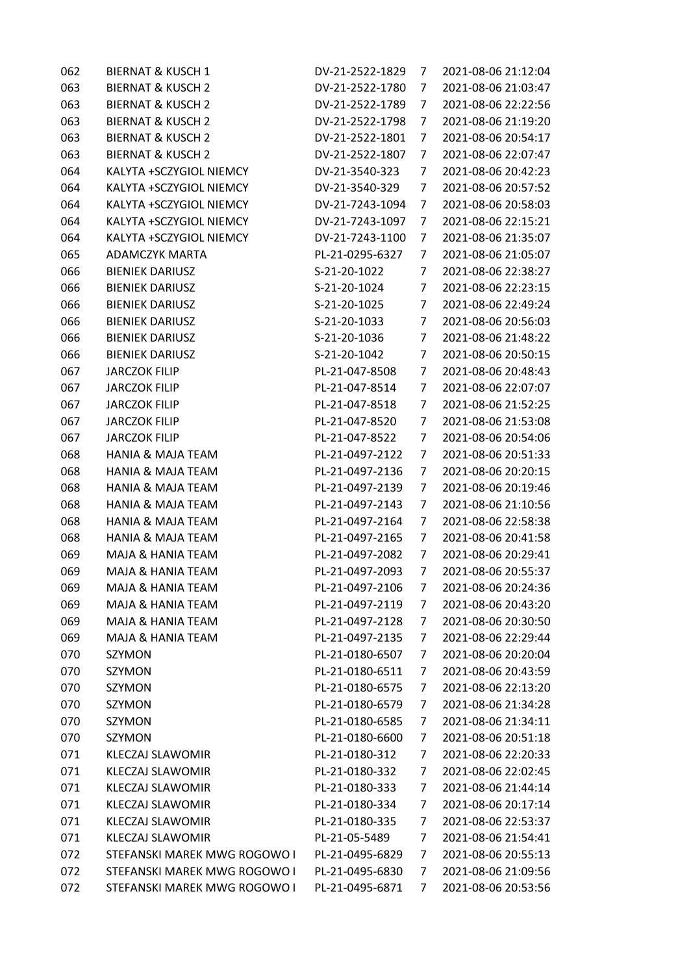| 062 | <b>BIERNAT &amp; KUSCH 1</b> | DV-21-2522-1829 | 7              | 2021-08-06 21:12:04 |
|-----|------------------------------|-----------------|----------------|---------------------|
| 063 | <b>BIERNAT &amp; KUSCH 2</b> | DV-21-2522-1780 | 7              | 2021-08-06 21:03:47 |
| 063 | <b>BIERNAT &amp; KUSCH 2</b> | DV-21-2522-1789 | 7              | 2021-08-06 22:22:56 |
| 063 | <b>BIERNAT &amp; KUSCH 2</b> | DV-21-2522-1798 | 7              | 2021-08-06 21:19:20 |
| 063 | <b>BIERNAT &amp; KUSCH 2</b> | DV-21-2522-1801 | 7              | 2021-08-06 20:54:17 |
| 063 | <b>BIERNAT &amp; KUSCH 2</b> | DV-21-2522-1807 | 7              | 2021-08-06 22:07:47 |
| 064 | KALYTA +SCZYGIOL NIEMCY      | DV-21-3540-323  | 7              | 2021-08-06 20:42:23 |
| 064 | KALYTA +SCZYGIOL NIEMCY      | DV-21-3540-329  | 7              | 2021-08-06 20:57:52 |
| 064 | KALYTA +SCZYGIOL NIEMCY      | DV-21-7243-1094 | 7              | 2021-08-06 20:58:03 |
| 064 | KALYTA +SCZYGIOL NIEMCY      | DV-21-7243-1097 | 7              | 2021-08-06 22:15:21 |
| 064 | KALYTA +SCZYGIOL NIEMCY      | DV-21-7243-1100 | 7              | 2021-08-06 21:35:07 |
| 065 | <b>ADAMCZYK MARTA</b>        | PL-21-0295-6327 | 7              | 2021-08-06 21:05:07 |
| 066 | <b>BIENIEK DARIUSZ</b>       | S-21-20-1022    | 7              | 2021-08-06 22:38:27 |
| 066 | <b>BIENIEK DARIUSZ</b>       | S-21-20-1024    | 7              | 2021-08-06 22:23:15 |
| 066 | <b>BIENIEK DARIUSZ</b>       | S-21-20-1025    | 7              | 2021-08-06 22:49:24 |
| 066 | <b>BIENIEK DARIUSZ</b>       | S-21-20-1033    | 7              | 2021-08-06 20:56:03 |
| 066 | <b>BIENIEK DARIUSZ</b>       | S-21-20-1036    | 7              | 2021-08-06 21:48:22 |
| 066 | <b>BIENIEK DARIUSZ</b>       | S-21-20-1042    | 7              | 2021-08-06 20:50:15 |
| 067 | <b>JARCZOK FILIP</b>         | PL-21-047-8508  | 7              | 2021-08-06 20:48:43 |
| 067 | <b>JARCZOK FILIP</b>         | PL-21-047-8514  | 7              | 2021-08-06 22:07:07 |
| 067 | <b>JARCZOK FILIP</b>         | PL-21-047-8518  | 7              | 2021-08-06 21:52:25 |
| 067 | <b>JARCZOK FILIP</b>         | PL-21-047-8520  | 7              | 2021-08-06 21:53:08 |
| 067 | <b>JARCZOK FILIP</b>         | PL-21-047-8522  | 7              | 2021-08-06 20:54:06 |
| 068 | <b>HANIA &amp; MAJA TEAM</b> | PL-21-0497-2122 | 7              | 2021-08-06 20:51:33 |
| 068 | <b>HANIA &amp; MAJA TEAM</b> | PL-21-0497-2136 | 7              | 2021-08-06 20:20:15 |
| 068 | <b>HANIA &amp; MAJA TEAM</b> | PL-21-0497-2139 | 7              | 2021-08-06 20:19:46 |
| 068 | <b>HANIA &amp; MAJA TEAM</b> | PL-21-0497-2143 | 7              | 2021-08-06 21:10:56 |
| 068 | <b>HANIA &amp; MAJA TEAM</b> | PL-21-0497-2164 | 7              | 2021-08-06 22:58:38 |
| 068 | <b>HANIA &amp; MAJA TEAM</b> | PL-21-0497-2165 | 7              | 2021-08-06 20:41:58 |
| 069 | MAJA & HANIA TEAM            | PL-21-0497-2082 | 7              | 2021-08-06 20:29:41 |
| 069 | <b>MAJA &amp; HANIA TEAM</b> | PL-21-0497-2093 | 7              | 2021-08-06 20:55:37 |
| 069 | MAJA & HANIA TEAM            | PL-21-0497-2106 | $\overline{7}$ | 2021-08-06 20:24:36 |
| 069 | MAJA & HANIA TEAM            | PL-21-0497-2119 | 7              | 2021-08-06 20:43:20 |
| 069 | MAJA & HANIA TEAM            | PL-21-0497-2128 | 7              | 2021-08-06 20:30:50 |
| 069 | MAJA & HANIA TEAM            | PL-21-0497-2135 | 7              | 2021-08-06 22:29:44 |
| 070 | SZYMON                       | PL-21-0180-6507 | 7              | 2021-08-06 20:20:04 |
| 070 | SZYMON                       | PL-21-0180-6511 | 7              | 2021-08-06 20:43:59 |
| 070 | SZYMON                       | PL-21-0180-6575 | 7              | 2021-08-06 22:13:20 |
| 070 | SZYMON                       | PL-21-0180-6579 | 7              | 2021-08-06 21:34:28 |
| 070 | SZYMON                       | PL-21-0180-6585 | 7              | 2021-08-06 21:34:11 |
| 070 | SZYMON                       | PL-21-0180-6600 | 7              | 2021-08-06 20:51:18 |
| 071 | <b>KLECZAJ SLAWOMIR</b>      | PL-21-0180-312  | 7              | 2021-08-06 22:20:33 |
| 071 | <b>KLECZAJ SLAWOMIR</b>      | PL-21-0180-332  | 7              | 2021-08-06 22:02:45 |
| 071 | KLECZAJ SLAWOMIR             | PL-21-0180-333  | 7              | 2021-08-06 21:44:14 |
| 071 | KLECZAJ SLAWOMIR             | PL-21-0180-334  | 7              | 2021-08-06 20:17:14 |
| 071 | KLECZAJ SLAWOMIR             | PL-21-0180-335  | 7              | 2021-08-06 22:53:37 |
| 071 | <b>KLECZAJ SLAWOMIR</b>      | PL-21-05-5489   | 7              | 2021-08-06 21:54:41 |
| 072 | STEFANSKI MAREK MWG ROGOWO I | PL-21-0495-6829 | 7              | 2021-08-06 20:55:13 |
| 072 | STEFANSKI MAREK MWG ROGOWO I | PL-21-0495-6830 | 7              | 2021-08-06 21:09:56 |
| 072 | STEFANSKI MAREK MWG ROGOWO I | PL-21-0495-6871 | 7              | 2021-08-06 20:53:56 |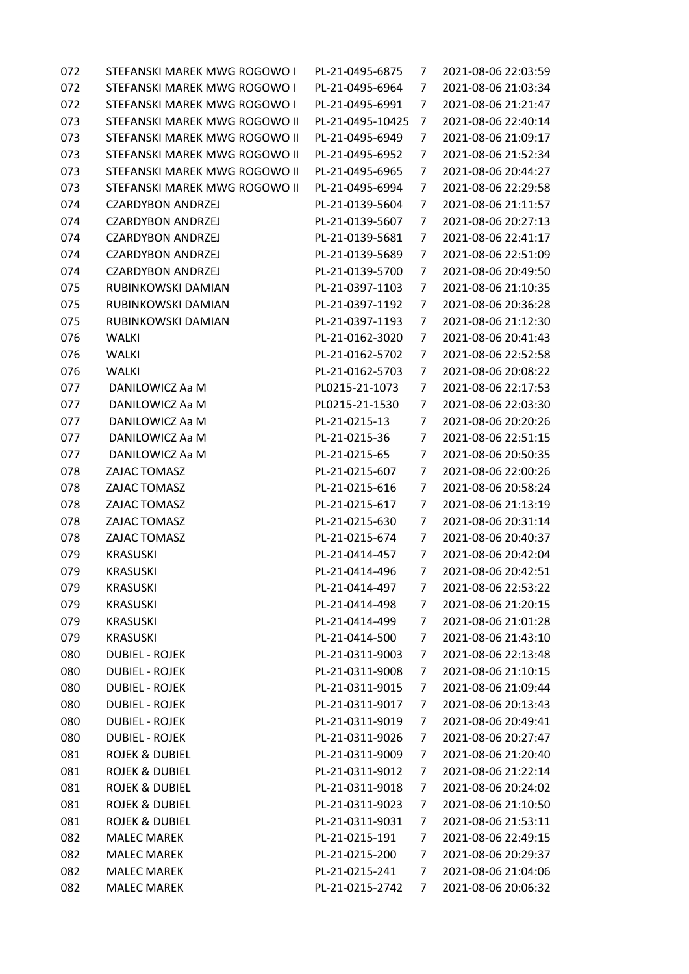| STEFANSKI MAREK MWG ROGOWO I  | PL-21-0495-6875  | 7              | 2021-08-06 22:03:59 |
|-------------------------------|------------------|----------------|---------------------|
| STEFANSKI MAREK MWG ROGOWO I  | PL-21-0495-6964  | 7              | 2021-08-06 21:03:34 |
| STEFANSKI MAREK MWG ROGOWO I  | PL-21-0495-6991  | 7              | 2021-08-06 21:21:47 |
| STEFANSKI MAREK MWG ROGOWO II | PL-21-0495-10425 | 7              | 2021-08-06 22:40:14 |
| STEFANSKI MAREK MWG ROGOWO II | PL-21-0495-6949  | 7              | 2021-08-06 21:09:17 |
| STEFANSKI MAREK MWG ROGOWO II | PL-21-0495-6952  | 7              | 2021-08-06 21:52:34 |
| STEFANSKI MAREK MWG ROGOWO II | PL-21-0495-6965  | 7              | 2021-08-06 20:44:27 |
| STEFANSKI MAREK MWG ROGOWO II | PL-21-0495-6994  | 7              | 2021-08-06 22:29:58 |
| <b>CZARDYBON ANDRZEJ</b>      | PL-21-0139-5604  | 7              | 2021-08-06 21:11:57 |
| <b>CZARDYBON ANDRZEJ</b>      | PL-21-0139-5607  | 7              | 2021-08-06 20:27:13 |
| <b>CZARDYBON ANDRZEJ</b>      | PL-21-0139-5681  | 7              | 2021-08-06 22:41:17 |
| <b>CZARDYBON ANDRZEJ</b>      | PL-21-0139-5689  | 7              | 2021-08-06 22:51:09 |
| <b>CZARDYBON ANDRZEJ</b>      | PL-21-0139-5700  | 7              | 2021-08-06 20:49:50 |
| RUBINKOWSKI DAMIAN            | PL-21-0397-1103  | 7              | 2021-08-06 21:10:35 |
| RUBINKOWSKI DAMIAN            | PL-21-0397-1192  | 7              | 2021-08-06 20:36:28 |
| RUBINKOWSKI DAMIAN            | PL-21-0397-1193  | 7              | 2021-08-06 21:12:30 |
| <b>WALKI</b>                  | PL-21-0162-3020  | 7              | 2021-08-06 20:41:43 |
| WALKI                         | PL-21-0162-5702  | 7              | 2021-08-06 22:52:58 |
| WALKI                         | PL-21-0162-5703  | 7              | 2021-08-06 20:08:22 |
| DANILOWICZ Aa M               | PL0215-21-1073   | 7              | 2021-08-06 22:17:53 |
| DANILOWICZ Aa M               | PL0215-21-1530   | 7              | 2021-08-06 22:03:30 |
| DANILOWICZ Aa M               | PL-21-0215-13    | 7              | 2021-08-06 20:20:26 |
| DANILOWICZ Aa M               | PL-21-0215-36    | 7              | 2021-08-06 22:51:15 |
| DANILOWICZ Aa M               | PL-21-0215-65    | 7              | 2021-08-06 20:50:35 |
| ZAJAC TOMASZ                  | PL-21-0215-607   | 7              | 2021-08-06 22:00:26 |
| ZAJAC TOMASZ                  | PL-21-0215-616   | 7              | 2021-08-06 20:58:24 |
| ZAJAC TOMASZ                  | PL-21-0215-617   | 7              | 2021-08-06 21:13:19 |
| ZAJAC TOMASZ                  | PL-21-0215-630   | 7              | 2021-08-06 20:31:14 |
| ZAJAC TOMASZ                  | PL-21-0215-674   | 7              | 2021-08-06 20:40:37 |
| <b>KRASUSKI</b>               | PL-21-0414-457   | 7              | 2021-08-06 20:42:04 |
| <b>KRASUSKI</b>               | PL-21-0414-496   | 7              | 2021-08-06 20:42:51 |
| <b>KRASUSKI</b>               | PL-21-0414-497   | $\overline{7}$ | 2021-08-06 22:53:22 |
| <b>KRASUSKI</b>               | PL-21-0414-498   | 7              | 2021-08-06 21:20:15 |
| <b>KRASUSKI</b>               | PL-21-0414-499   | 7              | 2021-08-06 21:01:28 |
| <b>KRASUSKI</b>               | PL-21-0414-500   | 7              | 2021-08-06 21:43:10 |
| <b>DUBIEL - ROJEK</b>         | PL-21-0311-9003  | 7              | 2021-08-06 22:13:48 |
| <b>DUBIEL - ROJEK</b>         | PL-21-0311-9008  | 7              | 2021-08-06 21:10:15 |
| <b>DUBIEL - ROJEK</b>         | PL-21-0311-9015  | 7              | 2021-08-06 21:09:44 |
| <b>DUBIEL - ROJEK</b>         | PL-21-0311-9017  | 7              | 2021-08-06 20:13:43 |
| <b>DUBIEL - ROJEK</b>         | PL-21-0311-9019  | 7              | 2021-08-06 20:49:41 |
| <b>DUBIEL - ROJEK</b>         | PL-21-0311-9026  | 7              | 2021-08-06 20:27:47 |
| <b>ROJEK &amp; DUBIEL</b>     | PL-21-0311-9009  | 7              | 2021-08-06 21:20:40 |
| <b>ROJEK &amp; DUBIEL</b>     | PL-21-0311-9012  | 7              | 2021-08-06 21:22:14 |
| <b>ROJEK &amp; DUBIEL</b>     | PL-21-0311-9018  | 7              | 2021-08-06 20:24:02 |
| <b>ROJEK &amp; DUBIEL</b>     | PL-21-0311-9023  | 7              | 2021-08-06 21:10:50 |
| <b>ROJEK &amp; DUBIEL</b>     | PL-21-0311-9031  | 7              | 2021-08-06 21:53:11 |
| <b>MALEC MAREK</b>            | PL-21-0215-191   | 7              | 2021-08-06 22:49:15 |
| <b>MALEC MAREK</b>            | PL-21-0215-200   | 7              | 2021-08-06 20:29:37 |
| <b>MALEC MAREK</b>            | PL-21-0215-241   | 7              | 2021-08-06 21:04:06 |
| <b>MALEC MAREK</b>            | PL-21-0215-2742  | 7              | 2021-08-06 20:06:32 |
|                               |                  |                |                     |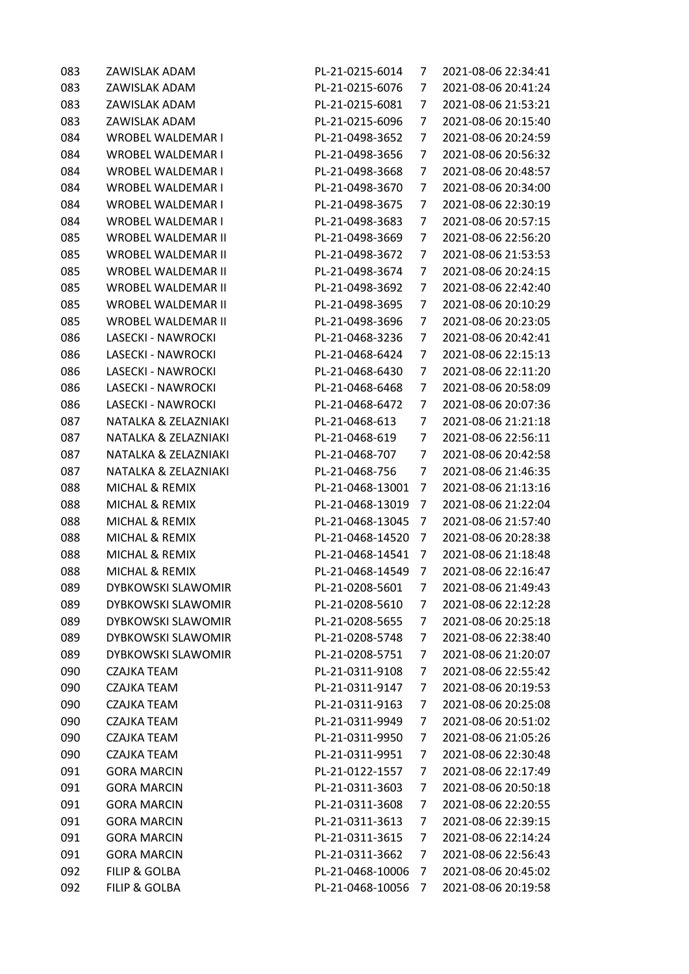| 083<br>083 | ZAWISLAK ADAM<br>ZAWISLAK ADAM | PL-21-0215-6014<br>PL-21-0215-6076 | 7<br>7 | 2021-08-06 22:34:41<br>2021-08-06 20:41:24 |
|------------|--------------------------------|------------------------------------|--------|--------------------------------------------|
| 083        | ZAWISLAK ADAM                  | PL-21-0215-6081                    | 7      | 2021-08-06 21:53:21                        |
| 083        | ZAWISLAK ADAM                  | PL-21-0215-6096                    |        |                                            |
|            |                                |                                    | 7      | 2021-08-06 20:15:40                        |
| 084        | <b>WROBEL WALDEMAR I</b>       | PL-21-0498-3652                    | 7      | 2021-08-06 20:24:59                        |
| 084        | <b>WROBEL WALDEMAR I</b>       | PL-21-0498-3656                    | 7      | 2021-08-06 20:56:32                        |
| 084        | <b>WROBEL WALDEMAR I</b>       | PL-21-0498-3668                    | 7      | 2021-08-06 20:48:57                        |
| 084        | <b>WROBEL WALDEMAR I</b>       | PL-21-0498-3670                    | 7      | 2021-08-06 20:34:00                        |
| 084        | <b>WROBEL WALDEMAR I</b>       | PL-21-0498-3675                    | 7      | 2021-08-06 22:30:19                        |
| 084        | <b>WROBEL WALDEMAR I</b>       | PL-21-0498-3683                    | 7      | 2021-08-06 20:57:15                        |
| 085        | WROBEL WALDEMAR II             | PL-21-0498-3669                    | 7      | 2021-08-06 22:56:20                        |
| 085        | <b>WROBEL WALDEMAR II</b>      | PL-21-0498-3672                    | 7      | 2021-08-06 21:53:53                        |
| 085        | WROBEL WALDEMAR II             | PL-21-0498-3674                    | 7      | 2021-08-06 20:24:15                        |
| 085        | <b>WROBEL WALDEMAR II</b>      | PL-21-0498-3692                    | 7      | 2021-08-06 22:42:40                        |
| 085        | <b>WROBEL WALDEMAR II</b>      | PL-21-0498-3695                    | 7      | 2021-08-06 20:10:29                        |
| 085        | <b>WROBEL WALDEMAR II</b>      | PL-21-0498-3696                    | 7      | 2021-08-06 20:23:05                        |
| 086        | LASECKI - NAWROCKI             | PL-21-0468-3236                    | 7      | 2021-08-06 20:42:41                        |
| 086        | LASECKI - NAWROCKI             | PL-21-0468-6424                    | 7      | 2021-08-06 22:15:13                        |
| 086        | LASECKI - NAWROCKI             | PL-21-0468-6430                    | 7      | 2021-08-06 22:11:20                        |
| 086        | LASECKI - NAWROCKI             | PL-21-0468-6468                    | 7      | 2021-08-06 20:58:09                        |
| 086        | LASECKI - NAWROCKI             | PL-21-0468-6472                    | 7      | 2021-08-06 20:07:36                        |
| 087        | NATALKA & ZELAZNIAKI           | PL-21-0468-613                     | 7      | 2021-08-06 21:21:18                        |
| 087        | NATALKA & ZELAZNIAKI           | PL-21-0468-619                     | 7      | 2021-08-06 22:56:11                        |
| 087        | NATALKA & ZELAZNIAKI           | PL-21-0468-707                     | 7      | 2021-08-06 20:42:58                        |
| 087        | NATALKA & ZELAZNIAKI           | PL-21-0468-756                     | 7      | 2021-08-06 21:46:35                        |
| 088        | MICHAL & REMIX                 | PL-21-0468-13001                   | 7      | 2021-08-06 21:13:16                        |
| 088        | MICHAL & REMIX                 | PL-21-0468-13019                   | 7      | 2021-08-06 21:22:04                        |
| 088        | MICHAL & REMIX                 | PL-21-0468-13045                   | 7      | 2021-08-06 21:57:40                        |
| 088        | MICHAL & REMIX                 | PL-21-0468-14520                   | 7      | 2021-08-06 20:28:38                        |
| 088        | <b>MICHAL &amp; REMIX</b>      | PL-21-0468-14541                   | 7      | 2021-08-06 21:18:48                        |
| 088        | MICHAL & REMIX                 | PL-21-0468-14549                   | 7      | 2021-08-06 22:16:47                        |
| 089        | <b>DYBKOWSKI SLAWOMIR</b>      | PL-21-0208-5601                    | 7      | 2021-08-06 21:49:43                        |
|            |                                |                                    |        | 2021-08-06 22:12:28                        |
| 089        | DYBKOWSKI SLAWOMIR             | PL-21-0208-5610                    | 7      |                                            |
| 089        | DYBKOWSKI SLAWOMIR             | PL-21-0208-5655                    | 7      | 2021-08-06 20:25:18                        |
| 089        | <b>DYBKOWSKI SLAWOMIR</b>      | PL-21-0208-5748                    | 7      | 2021-08-06 22:38:40                        |
| 089        | <b>DYBKOWSKI SLAWOMIR</b>      | PL-21-0208-5751                    | 7      | 2021-08-06 21:20:07                        |
| 090        | CZAJKA TEAM                    | PL-21-0311-9108                    | 7      | 2021-08-06 22:55:42                        |
| 090        | <b>CZAJKA TEAM</b>             | PL-21-0311-9147                    | 7      | 2021-08-06 20:19:53                        |
| 090        | <b>CZAJKA TEAM</b>             | PL-21-0311-9163                    | 7      | 2021-08-06 20:25:08                        |
| 090        | <b>CZAJKA TEAM</b>             | PL-21-0311-9949                    | 7      | 2021-08-06 20:51:02                        |
| 090        | <b>CZAJKA TEAM</b>             | PL-21-0311-9950                    | 7      | 2021-08-06 21:05:26                        |
| 090        | CZAJKA TEAM                    | PL-21-0311-9951                    | 7      | 2021-08-06 22:30:48                        |
| 091        | <b>GORA MARCIN</b>             | PL-21-0122-1557                    | 7      | 2021-08-06 22:17:49                        |
| 091        | <b>GORA MARCIN</b>             | PL-21-0311-3603                    | 7      | 2021-08-06 20:50:18                        |
| 091        | <b>GORA MARCIN</b>             | PL-21-0311-3608                    | 7      | 2021-08-06 22:20:55                        |
| 091        | <b>GORA MARCIN</b>             | PL-21-0311-3613                    | 7      | 2021-08-06 22:39:15                        |
| 091        | <b>GORA MARCIN</b>             | PL-21-0311-3615                    | 7      | 2021-08-06 22:14:24                        |
| 091        | <b>GORA MARCIN</b>             | PL-21-0311-3662                    | 7      | 2021-08-06 22:56:43                        |
| 092        | <b>FILIP &amp; GOLBA</b>       | PL-21-0468-10006                   | 7      | 2021-08-06 20:45:02                        |
| 092        | <b>FILIP &amp; GOLBA</b>       | PL-21-0468-10056                   | 7      | 2021-08-06 20:19:58                        |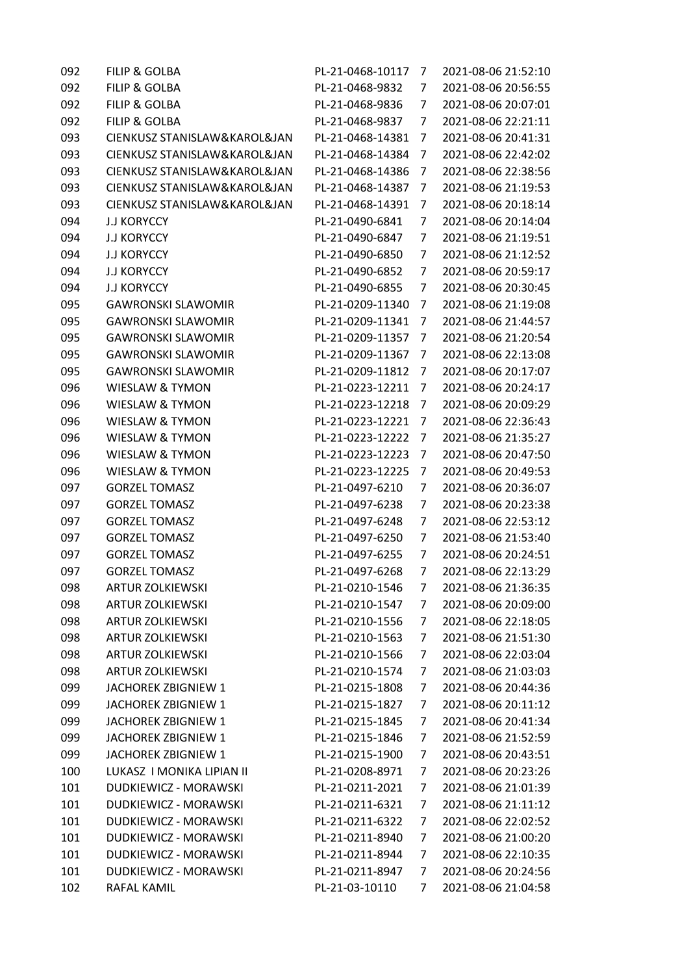| 092 | <b>FILIP &amp; GOLBA</b>     | PL-21-0468-10117 | 7              | 2021-08-06 21:52:10 |
|-----|------------------------------|------------------|----------------|---------------------|
| 092 | <b>FILIP &amp; GOLBA</b>     | PL-21-0468-9832  | 7              | 2021-08-06 20:56:55 |
| 092 | <b>FILIP &amp; GOLBA</b>     | PL-21-0468-9836  | 7              | 2021-08-06 20:07:01 |
| 092 | <b>FILIP &amp; GOLBA</b>     | PL-21-0468-9837  | 7              | 2021-08-06 22:21:11 |
| 093 | CIENKUSZ STANISLAW&KAROL&JAN | PL-21-0468-14381 | 7              | 2021-08-06 20:41:31 |
| 093 | CIENKUSZ STANISLAW&KAROL&JAN | PL-21-0468-14384 | 7              | 2021-08-06 22:42:02 |
| 093 | CIENKUSZ STANISLAW&KAROL&JAN | PL-21-0468-14386 | 7              | 2021-08-06 22:38:56 |
| 093 | CIENKUSZ STANISLAW&KAROL&JAN | PL-21-0468-14387 | 7              | 2021-08-06 21:19:53 |
| 093 | CIENKUSZ STANISLAW&KAROL&JAN | PL-21-0468-14391 | 7              | 2021-08-06 20:18:14 |
| 094 | <b>J.J KORYCCY</b>           | PL-21-0490-6841  | 7              | 2021-08-06 20:14:04 |
| 094 | <b>J.J KORYCCY</b>           | PL-21-0490-6847  | 7              | 2021-08-06 21:19:51 |
| 094 | <b>J.J KORYCCY</b>           | PL-21-0490-6850  | 7              | 2021-08-06 21:12:52 |
| 094 | <b>J.J KORYCCY</b>           | PL-21-0490-6852  | 7              | 2021-08-06 20:59:17 |
| 094 | <b>J.J KORYCCY</b>           | PL-21-0490-6855  | 7              | 2021-08-06 20:30:45 |
| 095 | <b>GAWRONSKI SLAWOMIR</b>    | PL-21-0209-11340 | 7              | 2021-08-06 21:19:08 |
| 095 | <b>GAWRONSKI SLAWOMIR</b>    | PL-21-0209-11341 | 7              | 2021-08-06 21:44:57 |
| 095 | <b>GAWRONSKI SLAWOMIR</b>    | PL-21-0209-11357 | 7              | 2021-08-06 21:20:54 |
| 095 | <b>GAWRONSKI SLAWOMIR</b>    | PL-21-0209-11367 | 7              | 2021-08-06 22:13:08 |
| 095 | <b>GAWRONSKI SLAWOMIR</b>    | PL-21-0209-11812 | 7              | 2021-08-06 20:17:07 |
| 096 | <b>WIESLAW &amp; TYMON</b>   | PL-21-0223-12211 | 7              | 2021-08-06 20:24:17 |
| 096 | <b>WIESLAW &amp; TYMON</b>   | PL-21-0223-12218 | 7              | 2021-08-06 20:09:29 |
| 096 | <b>WIESLAW &amp; TYMON</b>   | PL-21-0223-12221 | 7              | 2021-08-06 22:36:43 |
| 096 | <b>WIESLAW &amp; TYMON</b>   | PL-21-0223-12222 | 7              | 2021-08-06 21:35:27 |
| 096 | <b>WIESLAW &amp; TYMON</b>   | PL-21-0223-12223 | 7              | 2021-08-06 20:47:50 |
| 096 | <b>WIESLAW &amp; TYMON</b>   | PL-21-0223-12225 | 7              | 2021-08-06 20:49:53 |
| 097 | <b>GORZEL TOMASZ</b>         | PL-21-0497-6210  | 7              | 2021-08-06 20:36:07 |
| 097 | <b>GORZEL TOMASZ</b>         | PL-21-0497-6238  | 7              | 2021-08-06 20:23:38 |
| 097 | <b>GORZEL TOMASZ</b>         | PL-21-0497-6248  | 7              | 2021-08-06 22:53:12 |
| 097 | <b>GORZEL TOMASZ</b>         | PL-21-0497-6250  | 7              | 2021-08-06 21:53:40 |
| 097 | <b>GORZEL TOMASZ</b>         | PL-21-0497-6255  | 7              | 2021-08-06 20:24:51 |
| 097 | <b>GORZEL TOMASZ</b>         | PL-21-0497-6268  | 7              | 2021-08-06 22:13:29 |
| 098 | <b>ARTUR ZOLKIEWSKI</b>      | PL-21-0210-1546  | $\overline{7}$ | 2021-08-06 21:36:35 |
| 098 | <b>ARTUR ZOLKIEWSKI</b>      | PL-21-0210-1547  | 7              | 2021-08-06 20:09:00 |
| 098 | <b>ARTUR ZOLKIEWSKI</b>      | PL-21-0210-1556  | 7              | 2021-08-06 22:18:05 |
| 098 | <b>ARTUR ZOLKIEWSKI</b>      | PL-21-0210-1563  | 7              | 2021-08-06 21:51:30 |
| 098 | <b>ARTUR ZOLKIEWSKI</b>      | PL-21-0210-1566  | 7              | 2021-08-06 22:03:04 |
| 098 | <b>ARTUR ZOLKIEWSKI</b>      | PL-21-0210-1574  | 7              | 2021-08-06 21:03:03 |
| 099 | JACHOREK ZBIGNIEW 1          | PL-21-0215-1808  | 7              | 2021-08-06 20:44:36 |
| 099 | JACHOREK ZBIGNIEW 1          | PL-21-0215-1827  | 7              | 2021-08-06 20:11:12 |
| 099 | JACHOREK ZBIGNIEW 1          | PL-21-0215-1845  | 7              | 2021-08-06 20:41:34 |
| 099 | JACHOREK ZBIGNIEW 1          | PL-21-0215-1846  | 7              | 2021-08-06 21:52:59 |
| 099 | JACHOREK ZBIGNIEW 1          | PL-21-0215-1900  | 7              | 2021-08-06 20:43:51 |
| 100 | LUKASZ I MONIKA LIPIAN II    | PL-21-0208-8971  | 7              | 2021-08-06 20:23:26 |
| 101 | DUDKIEWICZ - MORAWSKI        | PL-21-0211-2021  | 7              | 2021-08-06 21:01:39 |
| 101 | DUDKIEWICZ - MORAWSKI        | PL-21-0211-6321  | 7              | 2021-08-06 21:11:12 |
| 101 | DUDKIEWICZ - MORAWSKI        | PL-21-0211-6322  | 7              | 2021-08-06 22:02:52 |
| 101 | DUDKIEWICZ - MORAWSKI        | PL-21-0211-8940  | 7              | 2021-08-06 21:00:20 |
| 101 | DUDKIEWICZ - MORAWSKI        | PL-21-0211-8944  | 7              | 2021-08-06 22:10:35 |
| 101 | DUDKIEWICZ - MORAWSKI        | PL-21-0211-8947  | 7              | 2021-08-06 20:24:56 |
| 102 | RAFAL KAMIL                  | PL-21-03-10110   | 7              | 2021-08-06 21:04:58 |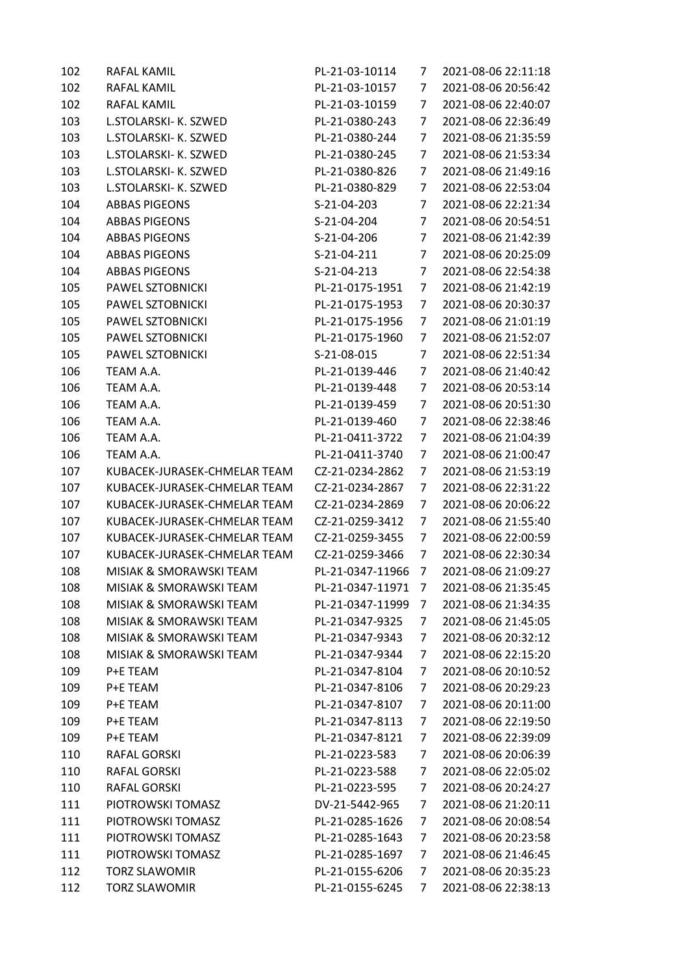| 102 | RAFAL KAMIL                  | PL-21-03-10114   | 7              | 2021-08-06 22:11:18 |
|-----|------------------------------|------------------|----------------|---------------------|
| 102 | RAFAL KAMIL                  | PL-21-03-10157   | 7              | 2021-08-06 20:56:42 |
| 102 | RAFAL KAMIL                  | PL-21-03-10159   | 7              | 2021-08-06 22:40:07 |
| 103 | L.STOLARSKI- K. SZWED        | PL-21-0380-243   | 7              | 2021-08-06 22:36:49 |
| 103 | L.STOLARSKI- K. SZWED        | PL-21-0380-244   | 7              | 2021-08-06 21:35:59 |
| 103 | L.STOLARSKI- K. SZWED        | PL-21-0380-245   | 7              | 2021-08-06 21:53:34 |
| 103 | L.STOLARSKI- K. SZWED        | PL-21-0380-826   | 7              | 2021-08-06 21:49:16 |
| 103 | L.STOLARSKI- K. SZWED        | PL-21-0380-829   | 7              | 2021-08-06 22:53:04 |
| 104 | <b>ABBAS PIGEONS</b>         | S-21-04-203      | 7              | 2021-08-06 22:21:34 |
| 104 | <b>ABBAS PIGEONS</b>         | S-21-04-204      | 7              | 2021-08-06 20:54:51 |
| 104 | <b>ABBAS PIGEONS</b>         | S-21-04-206      | 7              | 2021-08-06 21:42:39 |
| 104 | <b>ABBAS PIGEONS</b>         | S-21-04-211      | 7              | 2021-08-06 20:25:09 |
| 104 | <b>ABBAS PIGEONS</b>         | S-21-04-213      | 7              | 2021-08-06 22:54:38 |
| 105 | PAWEL SZTOBNICKI             | PL-21-0175-1951  | 7              | 2021-08-06 21:42:19 |
| 105 | PAWEL SZTOBNICKI             | PL-21-0175-1953  | 7              | 2021-08-06 20:30:37 |
| 105 | PAWEL SZTOBNICKI             | PL-21-0175-1956  | 7              | 2021-08-06 21:01:19 |
| 105 | PAWEL SZTOBNICKI             | PL-21-0175-1960  | 7              | 2021-08-06 21:52:07 |
| 105 | PAWEL SZTOBNICKI             | S-21-08-015      | 7              | 2021-08-06 22:51:34 |
| 106 | TEAM A.A.                    | PL-21-0139-446   | 7              | 2021-08-06 21:40:42 |
| 106 | TEAM A.A.                    | PL-21-0139-448   | 7              | 2021-08-06 20:53:14 |
| 106 | TEAM A.A.                    | PL-21-0139-459   | 7              | 2021-08-06 20:51:30 |
| 106 | TEAM A.A.                    | PL-21-0139-460   | 7              | 2021-08-06 22:38:46 |
| 106 | TEAM A.A.                    | PL-21-0411-3722  | 7              | 2021-08-06 21:04:39 |
| 106 | TEAM A.A.                    | PL-21-0411-3740  | 7              | 2021-08-06 21:00:47 |
| 107 | KUBACEK-JURASEK-CHMELAR TEAM | CZ-21-0234-2862  | 7              | 2021-08-06 21:53:19 |
| 107 | KUBACEK-JURASEK-CHMELAR TEAM | CZ-21-0234-2867  | 7              | 2021-08-06 22:31:22 |
| 107 | KUBACEK-JURASEK-CHMELAR TEAM | CZ-21-0234-2869  | 7              | 2021-08-06 20:06:22 |
| 107 | KUBACEK-JURASEK-CHMELAR TEAM | CZ-21-0259-3412  | 7              | 2021-08-06 21:55:40 |
| 107 | KUBACEK-JURASEK-CHMELAR TEAM | CZ-21-0259-3455  | 7              | 2021-08-06 22:00:59 |
| 107 | KUBACEK-JURASEK-CHMELAR TEAM | CZ-21-0259-3466  | 7              | 2021-08-06 22:30:34 |
| 108 | MISIAK & SMORAWSKI TEAM      | PL-21-0347-11966 | 7              | 2021-08-06 21:09:27 |
| 108 | MISIAK & SMORAWSKI TEAM      | PL-21-0347-11971 | $\overline{7}$ | 2021-08-06 21:35:45 |
| 108 | MISIAK & SMORAWSKI TEAM      | PL-21-0347-11999 | 7              | 2021-08-06 21:34:35 |
| 108 | MISIAK & SMORAWSKI TEAM      | PL-21-0347-9325  | 7              | 2021-08-06 21:45:05 |
| 108 | MISIAK & SMORAWSKI TEAM      | PL-21-0347-9343  | 7              | 2021-08-06 20:32:12 |
| 108 | MISIAK & SMORAWSKI TEAM      | PL-21-0347-9344  | 7              | 2021-08-06 22:15:20 |
| 109 | P+E TEAM                     | PL-21-0347-8104  | 7              | 2021-08-06 20:10:52 |
| 109 | P+E TEAM                     | PL-21-0347-8106  | 7              | 2021-08-06 20:29:23 |
| 109 | P+E TEAM                     | PL-21-0347-8107  | 7              | 2021-08-06 20:11:00 |
| 109 | P+E TEAM                     | PL-21-0347-8113  | 7              | 2021-08-06 22:19:50 |
| 109 | P+E TEAM                     | PL-21-0347-8121  | 7              | 2021-08-06 22:39:09 |
| 110 | RAFAL GORSKI                 | PL-21-0223-583   | 7              | 2021-08-06 20:06:39 |
| 110 | RAFAL GORSKI                 | PL-21-0223-588   | 7              | 2021-08-06 22:05:02 |
| 110 | RAFAL GORSKI                 | PL-21-0223-595   | 7              | 2021-08-06 20:24:27 |
| 111 | PIOTROWSKI TOMASZ            | DV-21-5442-965   | 7              | 2021-08-06 21:20:11 |
| 111 | PIOTROWSKI TOMASZ            | PL-21-0285-1626  | 7              | 2021-08-06 20:08:54 |
| 111 | PIOTROWSKI TOMASZ            | PL-21-0285-1643  | 7              | 2021-08-06 20:23:58 |
| 111 | PIOTROWSKI TOMASZ            | PL-21-0285-1697  | 7              | 2021-08-06 21:46:45 |
| 112 | <b>TORZ SLAWOMIR</b>         | PL-21-0155-6206  | 7              | 2021-08-06 20:35:23 |
| 112 | <b>TORZ SLAWOMIR</b>         | PL-21-0155-6245  | 7              | 2021-08-06 22:38:13 |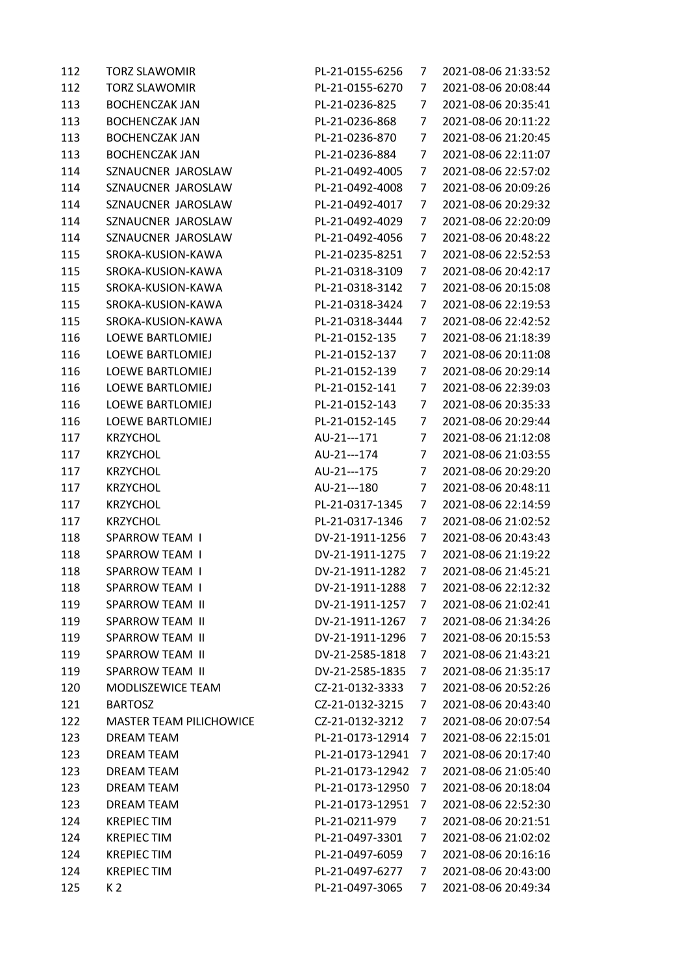| 124 | <b>KREPIEC TIM</b>             | PL-21-0497-6277  | 7              | 2021-08-06 20:43:00 |
|-----|--------------------------------|------------------|----------------|---------------------|
| 124 | <b>KREPIEC TIM</b>             | PL-21-0497-6059  | 7              | 2021-08-06 20:16:16 |
| 124 | <b>KREPIEC TIM</b>             | PL-21-0497-3301  | 7              | 2021-08-06 21:02:02 |
| 124 | <b>KREPIEC TIM</b>             | PL-21-0211-979   | 7              | 2021-08-06 20:21:51 |
| 123 | DREAM TEAM                     | PL-21-0173-12951 | 7              | 2021-08-06 22:52:30 |
| 123 | <b>DREAM TEAM</b>              | PL-21-0173-12950 | 7              | 2021-08-06 20:18:04 |
| 123 | <b>DREAM TEAM</b>              | PL-21-0173-12942 | 7              | 2021-08-06 21:05:40 |
| 123 | <b>DREAM TEAM</b>              | PL-21-0173-12941 | 7              | 2021-08-06 20:17:40 |
| 123 | <b>DREAM TEAM</b>              | PL-21-0173-12914 | 7              | 2021-08-06 22:15:01 |
| 122 | <b>MASTER TEAM PILICHOWICE</b> | CZ-21-0132-3212  | 7              | 2021-08-06 20:07:54 |
| 121 | <b>BARTOSZ</b>                 | CZ-21-0132-3215  | 7              | 2021-08-06 20:43:40 |
| 120 | MODLISZEWICE TEAM              | CZ-21-0132-3333  | 7              | 2021-08-06 20:52:26 |
| 119 | SPARROW TEAM II                | DV-21-2585-1835  | 7              | 2021-08-06 21:35:17 |
| 119 | SPARROW TEAM II                | DV-21-2585-1818  | 7              | 2021-08-06 21:43:21 |
| 119 | SPARROW TEAM II                | DV-21-1911-1296  | 7              | 2021-08-06 20:15:53 |
| 119 | SPARROW TEAM II                | DV-21-1911-1267  | 7              | 2021-08-06 21:34:26 |
| 119 | SPARROW TEAM II                | DV-21-1911-1257  | 7              | 2021-08-06 21:02:41 |
| 118 | <b>SPARROW TEAM I</b>          | DV-21-1911-1288  | 7 <sup>1</sup> | 2021-08-06 22:12:32 |
| 118 | <b>SPARROW TEAM I</b>          | DV-21-1911-1282  | 7              | 2021-08-06 21:45:21 |
| 118 | <b>SPARROW TEAM I</b>          | DV-21-1911-1275  | 7              | 2021-08-06 21:19:22 |
| 118 | <b>SPARROW TEAM I</b>          | DV-21-1911-1256  | 7              | 2021-08-06 20:43:43 |
| 117 | <b>KRZYCHOL</b>                | PL-21-0317-1346  | 7              | 2021-08-06 21:02:52 |
| 117 | <b>KRZYCHOL</b>                | PL-21-0317-1345  | 7              | 2021-08-06 22:14:59 |
| 117 | <b>KRZYCHOL</b>                | AU-21---180      | 7              | 2021-08-06 20:48:11 |
| 117 | <b>KRZYCHOL</b>                | AU-21---175      | 7              | 2021-08-06 20:29:20 |
| 117 | KRZYCHOL                       | AU-21---174      | 7              | 2021-08-06 21:03:55 |
| 117 | <b>KRZYCHOL</b>                | AU-21---171      | 7              | 2021-08-06 21:12:08 |
| 116 | LOEWE BARTLOMIEJ               | PL-21-0152-145   | 7              | 2021-08-06 20:29:44 |
| 116 | LOEWE BARTLOMIEJ               | PL-21-0152-143   | 7              | 2021-08-06 20:35:33 |
| 116 | <b>LOEWE BARTLOMIEJ</b>        | PL-21-0152-141   | 7              | 2021-08-06 22:39:03 |
| 116 | <b>LOEWE BARTLOMIEJ</b>        | PL-21-0152-139   | 7              | 2021-08-06 20:29:14 |
| 116 | <b>LOEWE BARTLOMIEJ</b>        | PL-21-0152-137   | 7              | 2021-08-06 20:11:08 |
| 116 | <b>LOEWE BARTLOMIEJ</b>        | PL-21-0152-135   | 7              | 2021-08-06 21:18:39 |
| 115 | SROKA-KUSION-KAWA              | PL-21-0318-3444  | 7              | 2021-08-06 22:42:52 |
| 115 | SROKA-KUSION-KAWA              | PL-21-0318-3424  | 7              | 2021-08-06 22:19:53 |
| 115 | SROKA-KUSION-KAWA              | PL-21-0318-3142  | 7              | 2021-08-06 20:15:08 |
| 115 | SROKA-KUSION-KAWA              | PL-21-0318-3109  | 7              | 2021-08-06 20:42:17 |
| 115 | SROKA-KUSION-KAWA              | PL-21-0235-8251  | 7              | 2021-08-06 22:52:53 |
| 114 | SZNAUCNER JAROSLAW             | PL-21-0492-4056  | 7              | 2021-08-06 20:48:22 |
| 114 | SZNAUCNER JAROSLAW             | PL-21-0492-4029  | 7              | 2021-08-06 22:20:09 |
| 114 | SZNAUCNER JAROSLAW             | PL-21-0492-4017  | 7              | 2021-08-06 20:29:32 |
| 114 | SZNAUCNER JAROSLAW             | PL-21-0492-4008  | 7              | 2021-08-06 20:09:26 |
| 114 | SZNAUCNER JAROSLAW             | PL-21-0492-4005  | 7              | 2021-08-06 22:57:02 |
| 113 | <b>BOCHENCZAK JAN</b>          | PL-21-0236-884   | 7              | 2021-08-06 22:11:07 |
| 113 | <b>BOCHENCZAK JAN</b>          | PL-21-0236-870   | 7              | 2021-08-06 21:20:45 |
| 113 | <b>BOCHENCZAK JAN</b>          | PL-21-0236-868   | 7              | 2021-08-06 20:11:22 |
| 113 | <b>BOCHENCZAK JAN</b>          | PL-21-0236-825   | 7              | 2021-08-06 20:35:41 |
| 112 | <b>TORZ SLAWOMIR</b>           | PL-21-0155-6270  | 7              | 2021-08-06 20:08:44 |
| 112 | <b>TORZ SLAWOMIR</b>           | PL-21-0155-6256  | 7              | 2021-08-06 21:33:52 |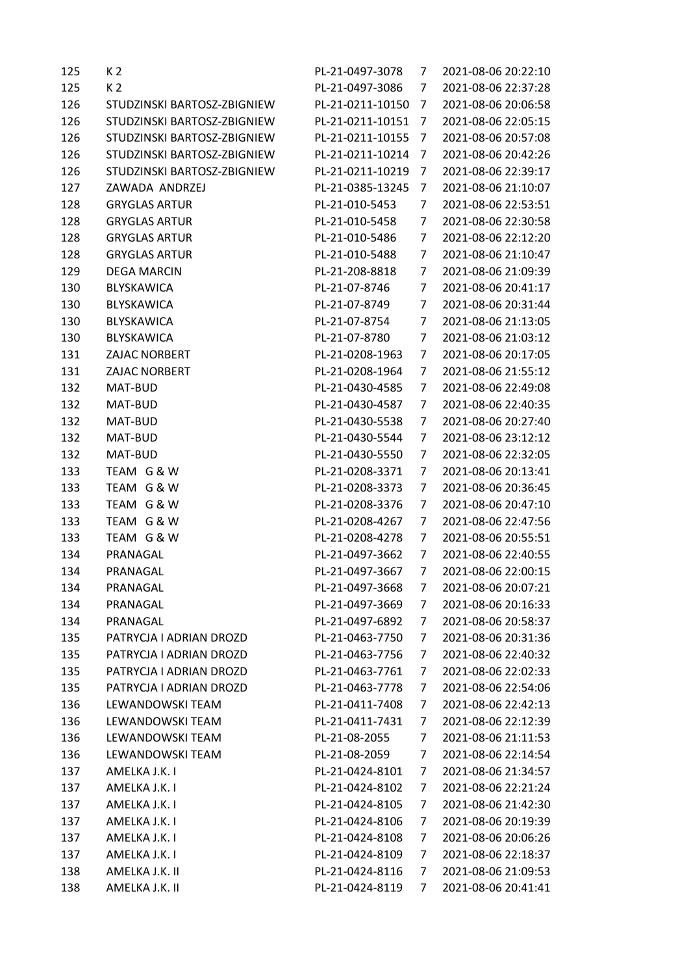| 125 | K <sub>2</sub>              | PL-21-0497-3078  | 7              | 2021-08-06 20:22:10 |
|-----|-----------------------------|------------------|----------------|---------------------|
| 125 | K <sub>2</sub>              | PL-21-0497-3086  | 7              | 2021-08-06 22:37:28 |
| 126 | STUDZINSKI BARTOSZ-ZBIGNIEW | PL-21-0211-10150 | 7              | 2021-08-06 20:06:58 |
| 126 | STUDZINSKI BARTOSZ-ZBIGNIEW | PL-21-0211-10151 | 7              | 2021-08-06 22:05:15 |
| 126 | STUDZINSKI BARTOSZ-ZBIGNIEW | PL-21-0211-10155 | 7              | 2021-08-06 20:57:08 |
| 126 | STUDZINSKI BARTOSZ-ZBIGNIEW | PL-21-0211-10214 | 7              | 2021-08-06 20:42:26 |
| 126 | STUDZINSKI BARTOSZ-ZBIGNIEW | PL-21-0211-10219 | 7              | 2021-08-06 22:39:17 |
| 127 | ZAWADA ANDRZEJ              | PL-21-0385-13245 | 7              | 2021-08-06 21:10:07 |
| 128 | <b>GRYGLAS ARTUR</b>        | PL-21-010-5453   | 7              | 2021-08-06 22:53:51 |
| 128 | <b>GRYGLAS ARTUR</b>        | PL-21-010-5458   | 7              | 2021-08-06 22:30:58 |
| 128 | <b>GRYGLAS ARTUR</b>        | PL-21-010-5486   | 7              | 2021-08-06 22:12:20 |
| 128 | <b>GRYGLAS ARTUR</b>        | PL-21-010-5488   | 7              | 2021-08-06 21:10:47 |
| 129 | <b>DEGA MARCIN</b>          | PL-21-208-8818   | 7              | 2021-08-06 21:09:39 |
| 130 | BLYSKAWICA                  | PL-21-07-8746    | 7              | 2021-08-06 20:41:17 |
| 130 | BLYSKAWICA                  | PL-21-07-8749    | 7              | 2021-08-06 20:31:44 |
| 130 | BLYSKAWICA                  | PL-21-07-8754    | 7              | 2021-08-06 21:13:05 |
| 130 | <b>BLYSKAWICA</b>           | PL-21-07-8780    | 7              | 2021-08-06 21:03:12 |
| 131 | ZAJAC NORBERT               | PL-21-0208-1963  | 7              | 2021-08-06 20:17:05 |
| 131 | <b>ZAJAC NORBERT</b>        | PL-21-0208-1964  | 7              | 2021-08-06 21:55:12 |
| 132 | MAT-BUD                     | PL-21-0430-4585  | 7              | 2021-08-06 22:49:08 |
| 132 | MAT-BUD                     | PL-21-0430-4587  | 7              | 2021-08-06 22:40:35 |
| 132 | MAT-BUD                     | PL-21-0430-5538  | 7              | 2021-08-06 20:27:40 |
| 132 | MAT-BUD                     | PL-21-0430-5544  | 7              | 2021-08-06 23:12:12 |
| 132 | MAT-BUD                     | PL-21-0430-5550  | 7              | 2021-08-06 22:32:05 |
| 133 | TEAM G & W                  | PL-21-0208-3371  | 7              | 2021-08-06 20:13:41 |
| 133 | TEAM G & W                  | PL-21-0208-3373  | 7              | 2021-08-06 20:36:45 |
| 133 | TEAM G & W                  | PL-21-0208-3376  | 7              | 2021-08-06 20:47:10 |
| 133 | TEAM G & W                  | PL-21-0208-4267  | 7              | 2021-08-06 22:47:56 |
| 133 | TEAM G & W                  | PL-21-0208-4278  | 7              | 2021-08-06 20:55:51 |
| 134 | PRANAGAL                    | PL-21-0497-3662  | 7              | 2021-08-06 22:40:55 |
| 134 | PRANAGAL                    | PL-21-0497-3667  | 7              | 2021-08-06 22:00:15 |
| 134 | PRANAGAL                    | PL-21-0497-3668  | $\overline{7}$ | 2021-08-06 20:07:21 |
| 134 | PRANAGAL                    | PL-21-0497-3669  | 7              | 2021-08-06 20:16:33 |
| 134 | PRANAGAL                    | PL-21-0497-6892  | 7              | 2021-08-06 20:58:37 |
| 135 | PATRYCJA I ADRIAN DROZD     | PL-21-0463-7750  | 7              | 2021-08-06 20:31:36 |
| 135 | PATRYCJA I ADRIAN DROZD     | PL-21-0463-7756  | 7              | 2021-08-06 22:40:32 |
| 135 | PATRYCJA I ADRIAN DROZD     | PL-21-0463-7761  | 7              | 2021-08-06 22:02:33 |
| 135 | PATRYCJA I ADRIAN DROZD     | PL-21-0463-7778  | 7              | 2021-08-06 22:54:06 |
| 136 | LEWANDOWSKI TEAM            | PL-21-0411-7408  | 7              | 2021-08-06 22:42:13 |
| 136 | LEWANDOWSKI TEAM            | PL-21-0411-7431  | 7              | 2021-08-06 22:12:39 |
| 136 | LEWANDOWSKI TEAM            | PL-21-08-2055    | 7              | 2021-08-06 21:11:53 |
| 136 | LEWANDOWSKI TEAM            | PL-21-08-2059    | 7              | 2021-08-06 22:14:54 |
| 137 | AMELKA J.K. I               | PL-21-0424-8101  | 7              | 2021-08-06 21:34:57 |
| 137 | AMELKA J.K. I               | PL-21-0424-8102  | 7              | 2021-08-06 22:21:24 |
| 137 | AMELKA J.K. I               | PL-21-0424-8105  | 7              | 2021-08-06 21:42:30 |
| 137 | AMELKA J.K. I               | PL-21-0424-8106  | 7              | 2021-08-06 20:19:39 |
| 137 | AMELKA J.K. I               | PL-21-0424-8108  | 7              | 2021-08-06 20:06:26 |
| 137 | AMELKA J.K. I               | PL-21-0424-8109  | 7              | 2021-08-06 22:18:37 |
| 138 | AMELKA J.K. II              | PL-21-0424-8116  | 7              | 2021-08-06 21:09:53 |
| 138 | AMELKA J.K. II              | PL-21-0424-8119  | 7              | 2021-08-06 20:41:41 |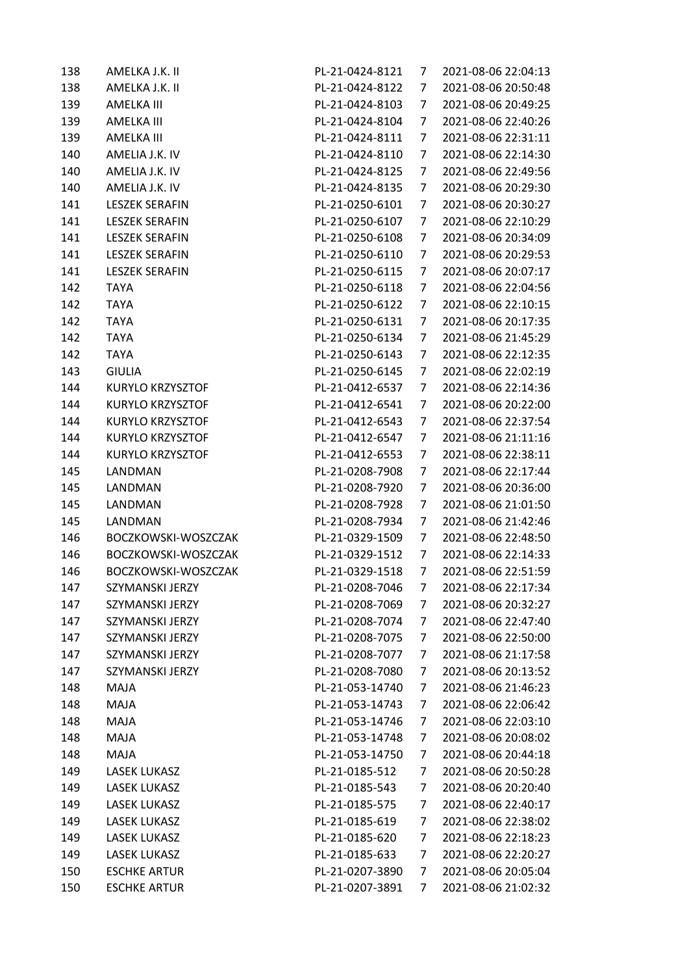| 138 | AMELKA J.K. II          | PL-21-0424-8121                  | 7              | 2021-08-06 22:04:13 |
|-----|-------------------------|----------------------------------|----------------|---------------------|
| 138 | AMELKA J.K. II          | PL-21-0424-8122                  | 7              | 2021-08-06 20:50:48 |
| 139 | AMELKA III              | PL-21-0424-8103                  | 7              | 2021-08-06 20:49:25 |
| 139 | AMELKA III              | PL-21-0424-8104                  | 7              | 2021-08-06 22:40:26 |
| 139 | AMELKA III              | PL-21-0424-8111                  | 7              | 2021-08-06 22:31:11 |
| 140 | AMELIA J.K. IV          | PL-21-0424-8110                  | 7              | 2021-08-06 22:14:30 |
| 140 | AMELIA J.K. IV          | PL-21-0424-8125                  | 7              | 2021-08-06 22:49:56 |
| 140 | AMELIA J.K. IV          | PL-21-0424-8135                  | 7              | 2021-08-06 20:29:30 |
| 141 | <b>LESZEK SERAFIN</b>   | PL-21-0250-6101                  | 7              | 2021-08-06 20:30:27 |
| 141 | <b>LESZEK SERAFIN</b>   | PL-21-0250-6107                  | 7              | 2021-08-06 22:10:29 |
| 141 | <b>LESZEK SERAFIN</b>   | PL-21-0250-6108                  | 7              | 2021-08-06 20:34:09 |
| 141 | <b>LESZEK SERAFIN</b>   | PL-21-0250-6110                  | 7              | 2021-08-06 20:29:53 |
| 141 | <b>LESZEK SERAFIN</b>   | PL-21-0250-6115                  | 7              | 2021-08-06 20:07:17 |
| 142 | <b>TAYA</b>             | PL-21-0250-6118                  | 7              | 2021-08-06 22:04:56 |
| 142 | <b>TAYA</b>             | PL-21-0250-6122                  | 7              | 2021-08-06 22:10:15 |
| 142 | <b>TAYA</b>             | PL-21-0250-6131                  | 7              | 2021-08-06 20:17:35 |
| 142 | <b>TAYA</b>             | PL-21-0250-6134                  | 7              | 2021-08-06 21:45:29 |
| 142 | <b>TAYA</b>             | PL-21-0250-6143                  | 7              | 2021-08-06 22:12:35 |
| 143 | <b>GIULIA</b>           | PL-21-0250-6145                  | 7              | 2021-08-06 22:02:19 |
| 144 | <b>KURYLO KRZYSZTOF</b> | PL-21-0412-6537                  | 7              | 2021-08-06 22:14:36 |
| 144 | KURYLO KRZYSZTOF        | PL-21-0412-6541                  | 7              | 2021-08-06 20:22:00 |
| 144 | KURYLO KRZYSZTOF        | PL-21-0412-6543                  | 7              | 2021-08-06 22:37:54 |
| 144 | KURYLO KRZYSZTOF        | PL-21-0412-6547                  | 7              | 2021-08-06 21:11:16 |
| 144 | KURYLO KRZYSZTOF        | PL-21-0412-6553                  | 7              | 2021-08-06 22:38:11 |
| 145 | LANDMAN                 | PL-21-0208-7908                  | 7              | 2021-08-06 22:17:44 |
| 145 | LANDMAN                 | PL-21-0208-7920                  | 7              | 2021-08-06 20:36:00 |
| 145 | LANDMAN                 | PL-21-0208-7928                  | 7              | 2021-08-06 21:01:50 |
| 145 | LANDMAN                 | PL-21-0208-7934                  | 7              | 2021-08-06 21:42:46 |
| 146 | BOCZKOWSKI-WOSZCZAK     | PL-21-0329-1509                  | 7              | 2021-08-06 22:48:50 |
| 146 | BOCZKOWSKI-WOSZCZAK     | PL-21-0329-1512                  | 7              | 2021-08-06 22:14:33 |
| 146 | BOCZKOWSKI-WOSZCZAK     | PL-21-0329-1518                  | $\overline{7}$ | 2021-08-06 22:51:59 |
| 147 | SZYMANSKI JERZY         | PL-21-0208-7046                  | 7              | 2021-08-06 22:17:34 |
| 147 | <b>SZYMANSKI JERZY</b>  | PL-21-0208-7069                  | 7              | 2021-08-06 20:32:27 |
| 147 | SZYMANSKI JERZY         | PL-21-0208-7074                  | 7              | 2021-08-06 22:47:40 |
| 147 | SZYMANSKI JERZY         | PL-21-0208-7075                  | 7              | 2021-08-06 22:50:00 |
| 147 | SZYMANSKI JERZY         | PL-21-0208-7077                  | 7              | 2021-08-06 21:17:58 |
| 147 | SZYMANSKI JERZY         | PL-21-0208-7080                  | 7              | 2021-08-06 20:13:52 |
| 148 | MAJA                    | PL-21-053-14740                  | 7              | 2021-08-06 21:46:23 |
| 148 | MAJA                    | PL-21-053-14743                  | 7              | 2021-08-06 22:06:42 |
| 148 | MAJA                    | PL-21-053-14746                  | 7              | 2021-08-06 22:03:10 |
| 148 | MAJA                    | PL-21-053-14748                  | 7              | 2021-08-06 20:08:02 |
| 148 | MAJA                    | PL-21-053-14750                  | 7              | 2021-08-06 20:44:18 |
| 149 | LASEK LUKASZ            | PL-21-0185-512                   | 7              | 2021-08-06 20:50:28 |
|     | <b>LASEK LUKASZ</b>     |                                  |                | 2021-08-06 20:20:40 |
| 149 | <b>LASEK LUKASZ</b>     | PL-21-0185-543<br>PL-21-0185-575 | 7              | 2021-08-06 22:40:17 |
| 149 |                         |                                  | 7              |                     |
| 149 | <b>LASEK LUKASZ</b>     | PL-21-0185-619                   | 7              | 2021-08-06 22:38:02 |
| 149 | <b>LASEK LUKASZ</b>     | PL-21-0185-620                   | 7              | 2021-08-06 22:18:23 |
| 149 | LASEK LUKASZ            | PL-21-0185-633                   | 7              | 2021-08-06 22:20:27 |
| 150 | <b>ESCHKE ARTUR</b>     | PL-21-0207-3890                  | 7              | 2021-08-06 20:05:04 |
| 150 | <b>ESCHKE ARTUR</b>     | PL-21-0207-3891                  | 7              | 2021-08-06 21:02:32 |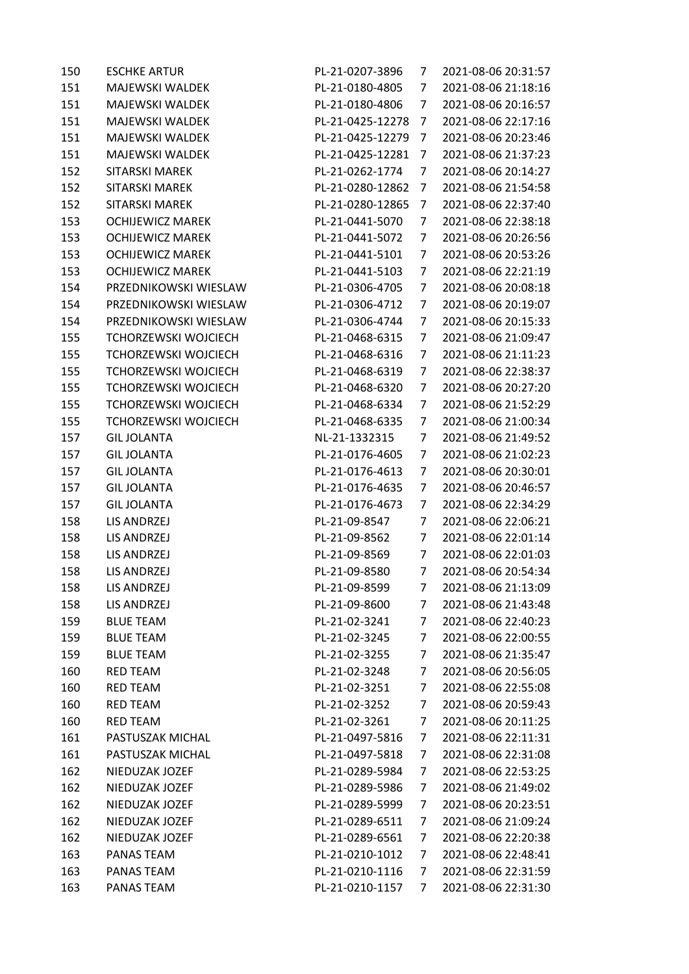| 150<br>151<br><b>MAJEWSKI WALDEK</b><br>PL-21-0180-4805<br>7<br>151<br><b>MAJEWSKI WALDEK</b><br>PL-21-0180-4806<br>7<br>151<br><b>MAJEWSKI WALDEK</b><br>PL-21-0425-12278<br>7<br>151<br><b>MAJEWSKI WALDEK</b><br>PL-21-0425-12279<br>7 | 2021-08-06 21:18:16<br>2021-08-06 20:16:57 |
|-------------------------------------------------------------------------------------------------------------------------------------------------------------------------------------------------------------------------------------------|--------------------------------------------|
|                                                                                                                                                                                                                                           |                                            |
|                                                                                                                                                                                                                                           |                                            |
|                                                                                                                                                                                                                                           | 2021-08-06 22:17:16                        |
|                                                                                                                                                                                                                                           | 2021-08-06 20:23:46                        |
| 151<br><b>MAJEWSKI WALDEK</b><br>PL-21-0425-12281<br>7                                                                                                                                                                                    | 2021-08-06 21:37:23                        |
| 152<br><b>SITARSKI MAREK</b><br>PL-21-0262-1774<br>7                                                                                                                                                                                      | 2021-08-06 20:14:27                        |
| PL-21-0280-12862<br>152<br><b>SITARSKI MAREK</b><br>7                                                                                                                                                                                     | 2021-08-06 21:54:58                        |
| 152<br><b>SITARSKI MAREK</b><br>PL-21-0280-12865<br>7                                                                                                                                                                                     | 2021-08-06 22:37:40                        |
| 153<br><b>OCHIJEWICZ MAREK</b><br>PL-21-0441-5070<br>7                                                                                                                                                                                    | 2021-08-06 22:38:18                        |
| 153<br><b>OCHIJEWICZ MAREK</b><br>PL-21-0441-5072<br>7                                                                                                                                                                                    | 2021-08-06 20:26:56                        |
| 153<br><b>OCHIJEWICZ MAREK</b><br>PL-21-0441-5101<br>7                                                                                                                                                                                    | 2021-08-06 20:53:26                        |
| <b>OCHIJEWICZ MAREK</b><br>153<br>PL-21-0441-5103<br>7                                                                                                                                                                                    | 2021-08-06 22:21:19                        |
| 154<br>PRZEDNIKOWSKI WIESLAW<br>PL-21-0306-4705<br>7                                                                                                                                                                                      | 2021-08-06 20:08:18                        |
| 154<br>PRZEDNIKOWSKI WIESLAW<br>PL-21-0306-4712<br>7                                                                                                                                                                                      | 2021-08-06 20:19:07                        |
| PRZEDNIKOWSKI WIESLAW<br>154<br>PL-21-0306-4744<br>7                                                                                                                                                                                      | 2021-08-06 20:15:33                        |
| 155<br><b>TCHORZEWSKI WOJCIECH</b><br>PL-21-0468-6315<br>7                                                                                                                                                                                | 2021-08-06 21:09:47                        |
| 155<br><b>TCHORZEWSKI WOJCIECH</b><br>PL-21-0468-6316<br>7                                                                                                                                                                                | 2021-08-06 21:11:23                        |
| 155<br><b>TCHORZEWSKI WOJCIECH</b><br>PL-21-0468-6319<br>7                                                                                                                                                                                | 2021-08-06 22:38:37                        |
| 155<br><b>TCHORZEWSKI WOJCIECH</b><br>PL-21-0468-6320<br>7                                                                                                                                                                                | 2021-08-06 20:27:20                        |
| <b>TCHORZEWSKI WOJCIECH</b><br>155<br>PL-21-0468-6334<br>7                                                                                                                                                                                | 2021-08-06 21:52:29                        |
| 155<br><b>TCHORZEWSKI WOJCIECH</b><br>PL-21-0468-6335<br>7                                                                                                                                                                                | 2021-08-06 21:00:34                        |
| 157<br><b>GIL JOLANTA</b><br>NL-21-1332315<br>7                                                                                                                                                                                           | 2021-08-06 21:49:52                        |
| 157<br>PL-21-0176-4605<br><b>GIL JOLANTA</b><br>7                                                                                                                                                                                         | 2021-08-06 21:02:23                        |
| 157<br><b>GIL JOLANTA</b><br>PL-21-0176-4613<br>7                                                                                                                                                                                         | 2021-08-06 20:30:01                        |
| 157<br><b>GIL JOLANTA</b><br>PL-21-0176-4635<br>7                                                                                                                                                                                         | 2021-08-06 20:46:57                        |
| 157<br><b>GIL JOLANTA</b><br>PL-21-0176-4673<br>7                                                                                                                                                                                         | 2021-08-06 22:34:29                        |
| 158<br><b>LIS ANDRZEJ</b><br>PL-21-09-8547<br>7                                                                                                                                                                                           | 2021-08-06 22:06:21                        |
| 158<br>LIS ANDRZEJ<br>PL-21-09-8562<br>7                                                                                                                                                                                                  | 2021-08-06 22:01:14                        |
| 158<br>LIS ANDRZEJ<br>PL-21-09-8569<br>7                                                                                                                                                                                                  | 2021-08-06 22:01:03                        |
| 158<br><b>LIS ANDRZEJ</b><br>PL-21-09-8580<br>7                                                                                                                                                                                           | 2021-08-06 20:54:34                        |
| LIS ANDRZEJ<br>PL-21-09-8599<br>158<br>7                                                                                                                                                                                                  | 2021-08-06 21:13:09                        |
| 158<br>LIS ANDRZEJ<br>PL-21-09-8600<br>7                                                                                                                                                                                                  | 2021-08-06 21:43:48                        |
| 159<br><b>BLUE TEAM</b><br>PL-21-02-3241<br>7                                                                                                                                                                                             | 2021-08-06 22:40:23                        |
| <b>BLUE TEAM</b><br>159<br>PL-21-02-3245<br>7                                                                                                                                                                                             | 2021-08-06 22:00:55                        |
| 159<br><b>BLUE TEAM</b><br>PL-21-02-3255<br>7                                                                                                                                                                                             | 2021-08-06 21:35:47                        |
| 160<br><b>RED TEAM</b><br>PL-21-02-3248<br>7                                                                                                                                                                                              | 2021-08-06 20:56:05                        |
| 160<br><b>RED TEAM</b><br>PL-21-02-3251<br>7                                                                                                                                                                                              | 2021-08-06 22:55:08                        |
| 160<br><b>RED TEAM</b><br>PL-21-02-3252<br>7                                                                                                                                                                                              | 2021-08-06 20:59:43                        |
| 160<br><b>RED TEAM</b><br>PL-21-02-3261<br>7                                                                                                                                                                                              | 2021-08-06 20:11:25                        |
| 161<br>PASTUSZAK MICHAL<br>PL-21-0497-5816<br>7                                                                                                                                                                                           | 2021-08-06 22:11:31                        |
| 161<br>PASTUSZAK MICHAL<br>PL-21-0497-5818<br>7                                                                                                                                                                                           | 2021-08-06 22:31:08                        |
| 162<br>NIEDUZAK JOZEF<br>PL-21-0289-5984<br>7                                                                                                                                                                                             | 2021-08-06 22:53:25                        |
| 162<br>NIEDUZAK JOZEF<br>PL-21-0289-5986<br>7                                                                                                                                                                                             | 2021-08-06 21:49:02                        |
| 162<br>NIEDUZAK JOZEF<br>PL-21-0289-5999<br>7                                                                                                                                                                                             | 2021-08-06 20:23:51                        |
| 162<br>NIEDUZAK JOZEF<br>PL-21-0289-6511<br>7                                                                                                                                                                                             | 2021-08-06 21:09:24                        |
| 162<br>PL-21-0289-6561<br>NIEDUZAK JOZEF<br>7                                                                                                                                                                                             | 2021-08-06 22:20:38                        |
|                                                                                                                                                                                                                                           | 2021-08-06 22:48:41                        |
|                                                                                                                                                                                                                                           |                                            |
| 163<br>PANAS TEAM<br>PL-21-0210-1012<br>7<br>163<br>PANAS TEAM<br>PL-21-0210-1116<br>7                                                                                                                                                    | 2021-08-06 22:31:59                        |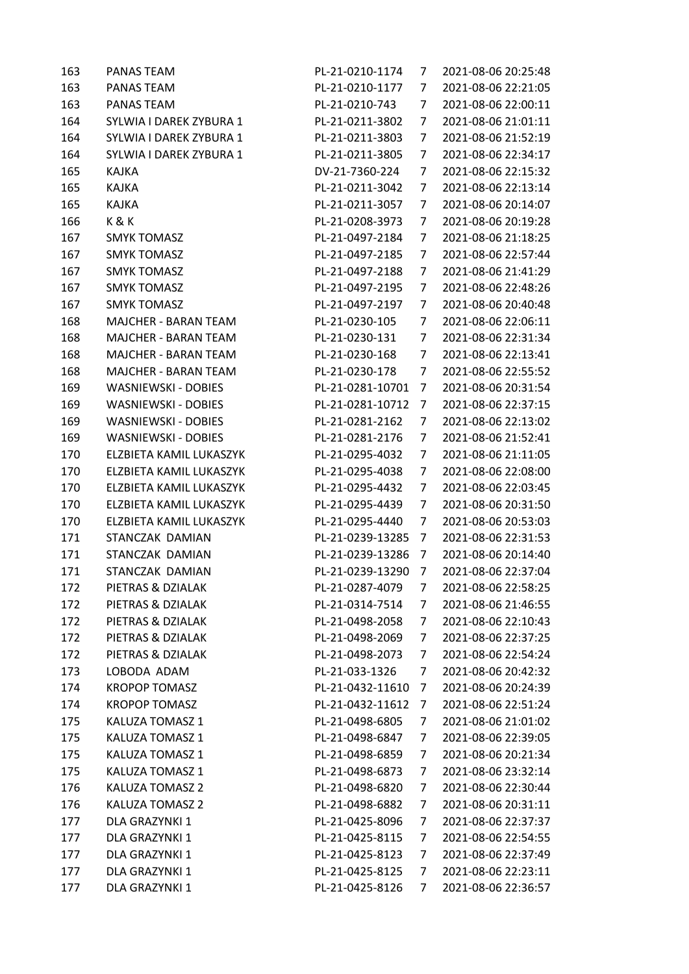| 163 | PANAS TEAM                  | PL-21-0210-1174  | 7              | 2021-08-06 20:25:48 |
|-----|-----------------------------|------------------|----------------|---------------------|
| 163 | PANAS TEAM                  | PL-21-0210-1177  | 7              | 2021-08-06 22:21:05 |
| 163 | PANAS TEAM                  | PL-21-0210-743   | 7              | 2021-08-06 22:00:11 |
| 164 | SYLWIA I DAREK ZYBURA 1     | PL-21-0211-3802  | 7              | 2021-08-06 21:01:11 |
| 164 | SYLWIA I DAREK ZYBURA 1     | PL-21-0211-3803  | 7              | 2021-08-06 21:52:19 |
| 164 | SYLWIA I DAREK ZYBURA 1     | PL-21-0211-3805  | 7              | 2021-08-06 22:34:17 |
| 165 | KAJKA                       | DV-21-7360-224   | 7              | 2021-08-06 22:15:32 |
| 165 | KAJKA                       | PL-21-0211-3042  | 7              | 2021-08-06 22:13:14 |
| 165 | KAJKA                       | PL-21-0211-3057  | 7              | 2021-08-06 20:14:07 |
| 166 | K&K                         | PL-21-0208-3973  | 7              | 2021-08-06 20:19:28 |
| 167 | <b>SMYK TOMASZ</b>          | PL-21-0497-2184  | 7              | 2021-08-06 21:18:25 |
| 167 | <b>SMYK TOMASZ</b>          | PL-21-0497-2185  | 7              | 2021-08-06 22:57:44 |
| 167 | <b>SMYK TOMASZ</b>          | PL-21-0497-2188  | 7              | 2021-08-06 21:41:29 |
| 167 | <b>SMYK TOMASZ</b>          | PL-21-0497-2195  | 7              | 2021-08-06 22:48:26 |
| 167 | <b>SMYK TOMASZ</b>          | PL-21-0497-2197  | 7              | 2021-08-06 20:40:48 |
| 168 | MAJCHER - BARAN TEAM        | PL-21-0230-105   | 7              | 2021-08-06 22:06:11 |
| 168 | <b>MAJCHER - BARAN TEAM</b> | PL-21-0230-131   | 7              | 2021-08-06 22:31:34 |
| 168 | <b>MAJCHER - BARAN TEAM</b> | PL-21-0230-168   | 7              | 2021-08-06 22:13:41 |
| 168 | <b>MAJCHER - BARAN TEAM</b> | PL-21-0230-178   | 7              | 2021-08-06 22:55:52 |
| 169 | <b>WASNIEWSKI - DOBIES</b>  | PL-21-0281-10701 | 7              | 2021-08-06 20:31:54 |
| 169 | <b>WASNIEWSKI - DOBIES</b>  | PL-21-0281-10712 | 7              | 2021-08-06 22:37:15 |
| 169 | <b>WASNIEWSKI - DOBIES</b>  | PL-21-0281-2162  | 7              | 2021-08-06 22:13:02 |
| 169 | <b>WASNIEWSKI - DOBIES</b>  | PL-21-0281-2176  | 7              | 2021-08-06 21:52:41 |
| 170 | ELZBIETA KAMIL LUKASZYK     | PL-21-0295-4032  | 7              | 2021-08-06 21:11:05 |
| 170 | ELZBIETA KAMIL LUKASZYK     | PL-21-0295-4038  | 7              | 2021-08-06 22:08:00 |
| 170 | ELZBIETA KAMIL LUKASZYK     | PL-21-0295-4432  | 7              | 2021-08-06 22:03:45 |
| 170 | ELZBIETA KAMIL LUKASZYK     | PL-21-0295-4439  | 7              | 2021-08-06 20:31:50 |
| 170 | ELZBIETA KAMIL LUKASZYK     | PL-21-0295-4440  | 7              | 2021-08-06 20:53:03 |
| 171 | STANCZAK DAMIAN             | PL-21-0239-13285 | 7              | 2021-08-06 22:31:53 |
| 171 | STANCZAK DAMIAN             | PL-21-0239-13286 | 7              | 2021-08-06 20:14:40 |
| 171 | STANCZAK DAMIAN             | PL-21-0239-13290 | $\overline{7}$ | 2021-08-06 22:37:04 |
| 172 | PIETRAS & DZIALAK           | PL-21-0287-4079  | $\overline{7}$ | 2021-08-06 22:58:25 |
| 172 | PIETRAS & DZIALAK           | PL-21-0314-7514  | 7              | 2021-08-06 21:46:55 |
| 172 | PIETRAS & DZIALAK           | PL-21-0498-2058  | 7              | 2021-08-06 22:10:43 |
| 172 | PIETRAS & DZIALAK           | PL-21-0498-2069  | 7              | 2021-08-06 22:37:25 |
| 172 | PIETRAS & DZIALAK           | PL-21-0498-2073  | 7              | 2021-08-06 22:54:24 |
| 173 | LOBODA ADAM                 | PL-21-033-1326   | 7              | 2021-08-06 20:42:32 |
| 174 | <b>KROPOP TOMASZ</b>        | PL-21-0432-11610 | 7              | 2021-08-06 20:24:39 |
| 174 | <b>KROPOP TOMASZ</b>        | PL-21-0432-11612 | 7              | 2021-08-06 22:51:24 |
| 175 | KALUZA TOMASZ 1             | PL-21-0498-6805  | 7              | 2021-08-06 21:01:02 |
| 175 | KALUZA TOMASZ 1             | PL-21-0498-6847  | 7              | 2021-08-06 22:39:05 |
| 175 | KALUZA TOMASZ 1             | PL-21-0498-6859  | 7              | 2021-08-06 20:21:34 |
| 175 | KALUZA TOMASZ 1             | PL-21-0498-6873  | 7              | 2021-08-06 23:32:14 |
| 176 | KALUZA TOMASZ 2             | PL-21-0498-6820  | 7              | 2021-08-06 22:30:44 |
| 176 | <b>KALUZA TOMASZ 2</b>      | PL-21-0498-6882  | 7              | 2021-08-06 20:31:11 |
| 177 | DLA GRAZYNKI 1              | PL-21-0425-8096  | 7              | 2021-08-06 22:37:37 |
| 177 | DLA GRAZYNKI 1              | PL-21-0425-8115  | 7              | 2021-08-06 22:54:55 |
| 177 | DLA GRAZYNKI 1              | PL-21-0425-8123  | 7              | 2021-08-06 22:37:49 |
| 177 | DLA GRAZYNKI 1              | PL-21-0425-8125  | 7              | 2021-08-06 22:23:11 |
| 177 | DLA GRAZYNKI 1              | PL-21-0425-8126  | 7              | 2021-08-06 22:36:57 |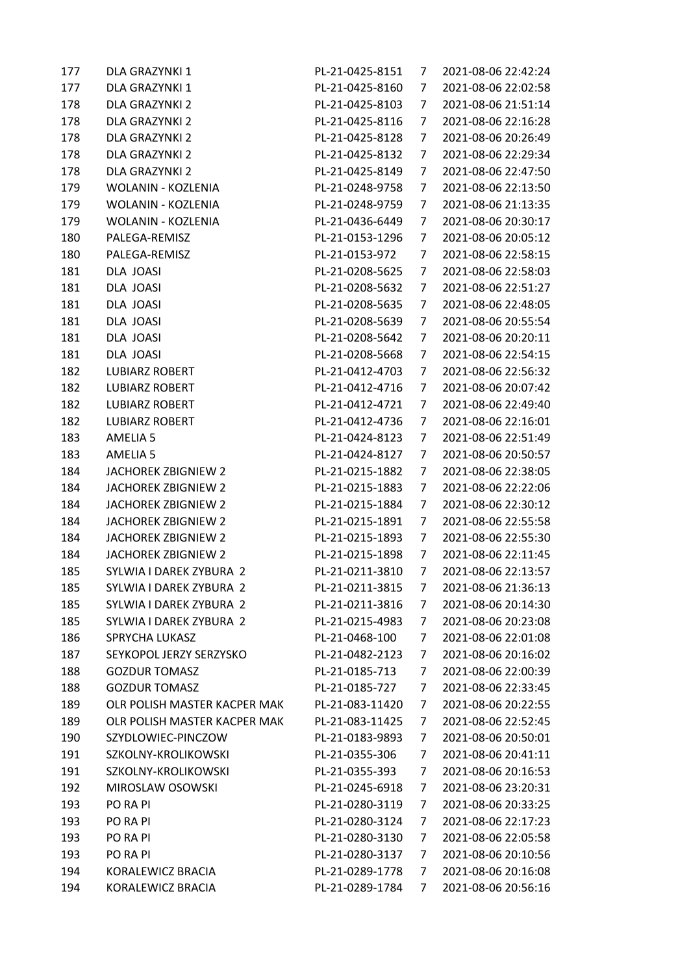| 177 | DLA GRAZYNKI 1               | PL-21-0425-8151 | 7              | 2021-08-06 22:42:24 |
|-----|------------------------------|-----------------|----------------|---------------------|
| 177 | DLA GRAZYNKI 1               | PL-21-0425-8160 | 7              | 2021-08-06 22:02:58 |
| 178 | DLA GRAZYNKI 2               | PL-21-0425-8103 | 7              | 2021-08-06 21:51:14 |
| 178 | DLA GRAZYNKI 2               | PL-21-0425-8116 | 7              | 2021-08-06 22:16:28 |
| 178 | DLA GRAZYNKI 2               | PL-21-0425-8128 | 7              | 2021-08-06 20:26:49 |
| 178 | DLA GRAZYNKI 2               | PL-21-0425-8132 | 7              | 2021-08-06 22:29:34 |
| 178 | DLA GRAZYNKI 2               | PL-21-0425-8149 | 7              | 2021-08-06 22:47:50 |
| 179 | WOLANIN - KOZLENIA           | PL-21-0248-9758 | 7              | 2021-08-06 22:13:50 |
| 179 | WOLANIN - KOZLENIA           | PL-21-0248-9759 | 7              | 2021-08-06 21:13:35 |
| 179 | <b>WOLANIN - KOZLENIA</b>    | PL-21-0436-6449 | 7              | 2021-08-06 20:30:17 |
| 180 | PALEGA-REMISZ                | PL-21-0153-1296 | 7              | 2021-08-06 20:05:12 |
| 180 | PALEGA-REMISZ                | PL-21-0153-972  | 7              | 2021-08-06 22:58:15 |
| 181 | DLA JOASI                    | PL-21-0208-5625 | 7              | 2021-08-06 22:58:03 |
| 181 | DLA JOASI                    | PL-21-0208-5632 | 7              | 2021-08-06 22:51:27 |
| 181 | DLA JOASI                    | PL-21-0208-5635 | 7              | 2021-08-06 22:48:05 |
| 181 | DLA JOASI                    | PL-21-0208-5639 | 7              | 2021-08-06 20:55:54 |
| 181 | <b>DLA JOASI</b>             | PL-21-0208-5642 | 7              | 2021-08-06 20:20:11 |
| 181 | DLA JOASI                    | PL-21-0208-5668 | 7              | 2021-08-06 22:54:15 |
| 182 | <b>LUBIARZ ROBERT</b>        | PL-21-0412-4703 | 7              | 2021-08-06 22:56:32 |
| 182 | <b>LUBIARZ ROBERT</b>        | PL-21-0412-4716 | 7              | 2021-08-06 20:07:42 |
| 182 | <b>LUBIARZ ROBERT</b>        | PL-21-0412-4721 | 7              | 2021-08-06 22:49:40 |
| 182 | <b>LUBIARZ ROBERT</b>        | PL-21-0412-4736 | 7              | 2021-08-06 22:16:01 |
| 183 | <b>AMELIA 5</b>              | PL-21-0424-8123 | 7              | 2021-08-06 22:51:49 |
| 183 | AMELIA 5                     | PL-21-0424-8127 | 7              | 2021-08-06 20:50:57 |
| 184 | <b>JACHOREK ZBIGNIEW 2</b>   | PL-21-0215-1882 | 7              | 2021-08-06 22:38:05 |
| 184 | <b>JACHOREK ZBIGNIEW 2</b>   | PL-21-0215-1883 | 7              | 2021-08-06 22:22:06 |
| 184 | <b>JACHOREK ZBIGNIEW 2</b>   | PL-21-0215-1884 | 7              | 2021-08-06 22:30:12 |
| 184 | <b>JACHOREK ZBIGNIEW 2</b>   | PL-21-0215-1891 | 7              | 2021-08-06 22:55:58 |
| 184 | <b>JACHOREK ZBIGNIEW 2</b>   | PL-21-0215-1893 | 7              | 2021-08-06 22:55:30 |
| 184 | <b>JACHOREK ZBIGNIEW 2</b>   | PL-21-0215-1898 | 7              | 2021-08-06 22:11:45 |
| 185 | SYLWIA I DAREK ZYBURA 2      | PL-21-0211-3810 | 7              | 2021-08-06 22:13:57 |
| 185 | SYLWIA I DAREK ZYBURA 2      | PL-21-0211-3815 | $\overline{7}$ | 2021-08-06 21:36:13 |
| 185 | SYLWIA I DAREK ZYBURA 2      | PL-21-0211-3816 | 7              | 2021-08-06 20:14:30 |
| 185 | SYLWIA I DAREK ZYBURA 2      | PL-21-0215-4983 | 7              | 2021-08-06 20:23:08 |
| 186 | <b>SPRYCHA LUKASZ</b>        | PL-21-0468-100  | 7              | 2021-08-06 22:01:08 |
| 187 | SEYKOPOL JERZY SERZYSKO      | PL-21-0482-2123 | 7              | 2021-08-06 20:16:02 |
| 188 | <b>GOZDUR TOMASZ</b>         | PL-21-0185-713  | 7              | 2021-08-06 22:00:39 |
| 188 | <b>GOZDUR TOMASZ</b>         | PL-21-0185-727  | 7              | 2021-08-06 22:33:45 |
| 189 | OLR POLISH MASTER KACPER MAK | PL-21-083-11420 | 7              | 2021-08-06 20:22:55 |
| 189 | OLR POLISH MASTER KACPER MAK | PL-21-083-11425 | 7              | 2021-08-06 22:52:45 |
| 190 | SZYDLOWIEC-PINCZOW           | PL-21-0183-9893 | 7              | 2021-08-06 20:50:01 |
| 191 | SZKOLNY-KROLIKOWSKI          | PL-21-0355-306  | 7              | 2021-08-06 20:41:11 |
| 191 | SZKOLNY-KROLIKOWSKI          | PL-21-0355-393  | 7              | 2021-08-06 20:16:53 |
| 192 | MIROSLAW OSOWSKI             | PL-21-0245-6918 | 7              | 2021-08-06 23:20:31 |
| 193 | PO RA PI                     | PL-21-0280-3119 | 7              | 2021-08-06 20:33:25 |
| 193 | PO RA PI                     | PL-21-0280-3124 | 7              | 2021-08-06 22:17:23 |
| 193 | PO RA PI                     | PL-21-0280-3130 | 7              | 2021-08-06 22:05:58 |
| 193 | PO RA PI                     | PL-21-0280-3137 | 7              | 2021-08-06 20:10:56 |
| 194 | KORALEWICZ BRACIA            | PL-21-0289-1778 | 7              | 2021-08-06 20:16:08 |
| 194 | KORALEWICZ BRACIA            | PL-21-0289-1784 | 7              | 2021-08-06 20:56:16 |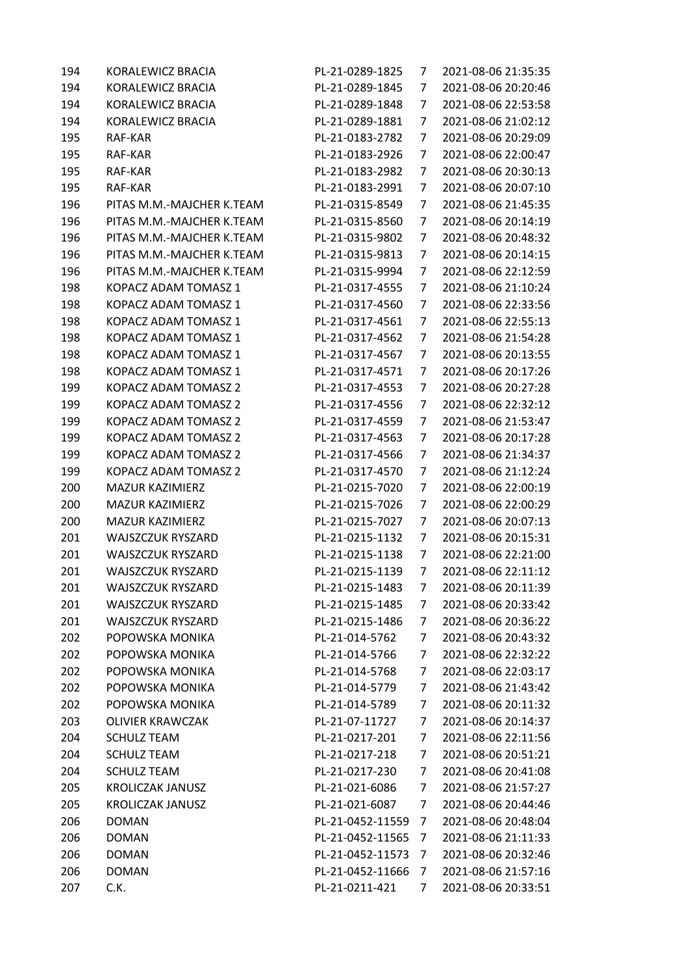| 194 | KORALEWICZ BRACIA           | PL-21-0289-1825  | 7              | 2021-08-06 21:35:35 |
|-----|-----------------------------|------------------|----------------|---------------------|
| 194 | KORALEWICZ BRACIA           | PL-21-0289-1845  | 7              | 2021-08-06 20:20:46 |
| 194 | KORALEWICZ BRACIA           | PL-21-0289-1848  | 7              | 2021-08-06 22:53:58 |
| 194 | KORALEWICZ BRACIA           | PL-21-0289-1881  | 7              | 2021-08-06 21:02:12 |
| 195 | RAF-KAR                     | PL-21-0183-2782  | 7              | 2021-08-06 20:29:09 |
| 195 | RAF-KAR                     | PL-21-0183-2926  | 7              | 2021-08-06 22:00:47 |
| 195 | RAF-KAR                     | PL-21-0183-2982  | 7              | 2021-08-06 20:30:13 |
| 195 | RAF-KAR                     | PL-21-0183-2991  | 7              | 2021-08-06 20:07:10 |
| 196 | PITAS M.M.-MAJCHER K.TEAM   | PL-21-0315-8549  | 7              | 2021-08-06 21:45:35 |
| 196 | PITAS M.M.-MAJCHER K.TEAM   | PL-21-0315-8560  | 7              | 2021-08-06 20:14:19 |
| 196 | PITAS M.M.-MAJCHER K.TEAM   | PL-21-0315-9802  | 7              | 2021-08-06 20:48:32 |
| 196 | PITAS M.M.-MAJCHER K.TEAM   | PL-21-0315-9813  | 7              | 2021-08-06 20:14:15 |
| 196 | PITAS M.M.-MAJCHER K.TEAM   | PL-21-0315-9994  | 7              | 2021-08-06 22:12:59 |
| 198 | KOPACZ ADAM TOMASZ 1        | PL-21-0317-4555  | 7              | 2021-08-06 21:10:24 |
| 198 | KOPACZ ADAM TOMASZ 1        | PL-21-0317-4560  | 7              | 2021-08-06 22:33:56 |
| 198 | KOPACZ ADAM TOMASZ 1        | PL-21-0317-4561  | 7              | 2021-08-06 22:55:13 |
| 198 | KOPACZ ADAM TOMASZ 1        | PL-21-0317-4562  | 7              | 2021-08-06 21:54:28 |
| 198 | KOPACZ ADAM TOMASZ 1        | PL-21-0317-4567  | 7              | 2021-08-06 20:13:55 |
| 198 | KOPACZ ADAM TOMASZ 1        | PL-21-0317-4571  | 7              | 2021-08-06 20:17:26 |
| 199 | <b>KOPACZ ADAM TOMASZ 2</b> | PL-21-0317-4553  | 7              | 2021-08-06 20:27:28 |
| 199 | KOPACZ ADAM TOMASZ 2        | PL-21-0317-4556  | 7              | 2021-08-06 22:32:12 |
| 199 | KOPACZ ADAM TOMASZ 2        | PL-21-0317-4559  | 7              | 2021-08-06 21:53:47 |
| 199 | KOPACZ ADAM TOMASZ 2        | PL-21-0317-4563  | 7              | 2021-08-06 20:17:28 |
| 199 | KOPACZ ADAM TOMASZ 2        | PL-21-0317-4566  | 7              | 2021-08-06 21:34:37 |
| 199 | KOPACZ ADAM TOMASZ 2        | PL-21-0317-4570  | 7              | 2021-08-06 21:12:24 |
| 200 | MAZUR KAZIMIERZ             | PL-21-0215-7020  | 7              | 2021-08-06 22:00:19 |
| 200 | <b>MAZUR KAZIMIERZ</b>      | PL-21-0215-7026  | 7              | 2021-08-06 22:00:29 |
| 200 | <b>MAZUR KAZIMIERZ</b>      | PL-21-0215-7027  | 7              | 2021-08-06 20:07:13 |
| 201 | <b>WAJSZCZUK RYSZARD</b>    | PL-21-0215-1132  | 7              | 2021-08-06 20:15:31 |
| 201 | <b>WAJSZCZUK RYSZARD</b>    | PL-21-0215-1138  | 7              | 2021-08-06 22:21:00 |
| 201 | <b>WAJSZCZUK RYSZARD</b>    | PL-21-0215-1139  | 7              | 2021-08-06 22:11:12 |
| 201 | WAJSZCZUK RYSZARD           | PL-21-0215-1483  | $\overline{7}$ | 2021-08-06 20:11:39 |
| 201 | <b>WAJSZCZUK RYSZARD</b>    | PL-21-0215-1485  | 7              | 2021-08-06 20:33:42 |
| 201 | <b>WAJSZCZUK RYSZARD</b>    | PL-21-0215-1486  | 7              | 2021-08-06 20:36:22 |
| 202 | POPOWSKA MONIKA             | PL-21-014-5762   | 7              | 2021-08-06 20:43:32 |
| 202 | POPOWSKA MONIKA             | PL-21-014-5766   | 7              | 2021-08-06 22:32:22 |
| 202 | POPOWSKA MONIKA             | PL-21-014-5768   | 7              | 2021-08-06 22:03:17 |
| 202 | POPOWSKA MONIKA             | PL-21-014-5779   | 7              | 2021-08-06 21:43:42 |
| 202 | POPOWSKA MONIKA             | PL-21-014-5789   | 7              | 2021-08-06 20:11:32 |
| 203 | <b>OLIVIER KRAWCZAK</b>     | PL-21-07-11727   | 7              | 2021-08-06 20:14:37 |
| 204 | <b>SCHULZ TEAM</b>          | PL-21-0217-201   | 7              | 2021-08-06 22:11:56 |
| 204 | <b>SCHULZ TEAM</b>          | PL-21-0217-218   | 7              | 2021-08-06 20:51:21 |
| 204 | <b>SCHULZ TEAM</b>          | PL-21-0217-230   | 7              | 2021-08-06 20:41:08 |
| 205 | <b>KROLICZAK JANUSZ</b>     | PL-21-021-6086   | 7              | 2021-08-06 21:57:27 |
| 205 | <b>KROLICZAK JANUSZ</b>     | PL-21-021-6087   | 7              | 2021-08-06 20:44:46 |
| 206 | <b>DOMAN</b>                | PL-21-0452-11559 | 7              | 2021-08-06 20:48:04 |
| 206 | <b>DOMAN</b>                | PL-21-0452-11565 | 7              | 2021-08-06 21:11:33 |
| 206 | <b>DOMAN</b>                | PL-21-0452-11573 | 7              | 2021-08-06 20:32:46 |
| 206 | <b>DOMAN</b>                | PL-21-0452-11666 | 7              | 2021-08-06 21:57:16 |
| 207 | C.K.                        | PL-21-0211-421   | 7              | 2021-08-06 20:33:51 |